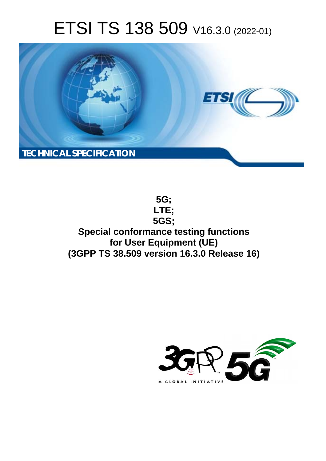# ETSI TS 138 509 V16.3.0 (2022-01)



**5G; LTE; 5GS; Special conformance testing functions for User Equipment (UE) (3GPP TS 38.509 version 16.3.0 Release 16)** 

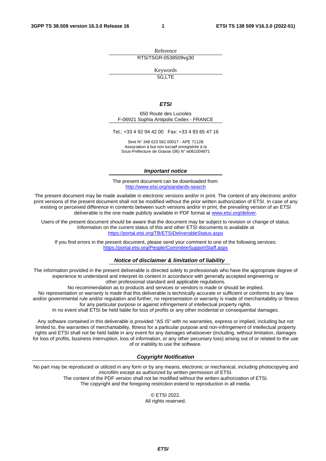Reference RTS/TSGR-0538509vg30

Keywords

5G,LTE

#### *ETSI*

650 Route des Lucioles F-06921 Sophia Antipolis Cedex - FRANCE

Tel.: +33 4 92 94 42 00 Fax: +33 4 93 65 47 16

Siret N° 348 623 562 00017 - APE 7112B Association à but non lucratif enregistrée à la Sous-Préfecture de Grasse (06) N° w061004871

#### *Important notice*

The present document can be downloaded from: <http://www.etsi.org/standards-search>

The present document may be made available in electronic versions and/or in print. The content of any electronic and/or print versions of the present document shall not be modified without the prior written authorization of ETSI. In case of any existing or perceived difference in contents between such versions and/or in print, the prevailing version of an ETSI deliverable is the one made publicly available in PDF format at [www.etsi.org/deliver](http://www.etsi.org/deliver).

Users of the present document should be aware that the document may be subject to revision or change of status. Information on the current status of this and other ETSI documents is available at <https://portal.etsi.org/TB/ETSIDeliverableStatus.aspx>

If you find errors in the present document, please send your comment to one of the following services: <https://portal.etsi.org/People/CommiteeSupportStaff.aspx>

#### *Notice of disclaimer & limitation of liability*

The information provided in the present deliverable is directed solely to professionals who have the appropriate degree of experience to understand and interpret its content in accordance with generally accepted engineering or other professional standard and applicable regulations.

No recommendation as to products and services or vendors is made or should be implied.

No representation or warranty is made that this deliverable is technically accurate or sufficient or conforms to any law and/or governmental rule and/or regulation and further, no representation or warranty is made of merchantability or fitness for any particular purpose or against infringement of intellectual property rights.

In no event shall ETSI be held liable for loss of profits or any other incidental or consequential damages.

Any software contained in this deliverable is provided "AS IS" with no warranties, express or implied, including but not limited to, the warranties of merchantability, fitness for a particular purpose and non-infringement of intellectual property rights and ETSI shall not be held liable in any event for any damages whatsoever (including, without limitation, damages for loss of profits, business interruption, loss of information, or any other pecuniary loss) arising out of or related to the use of or inability to use the software.

#### *Copyright Notification*

No part may be reproduced or utilized in any form or by any means, electronic or mechanical, including photocopying and microfilm except as authorized by written permission of ETSI. The content of the PDF version shall not be modified without the written authorization of ETSI.

The copyright and the foregoing restriction extend to reproduction in all media.

© ETSI 2022. All rights reserved.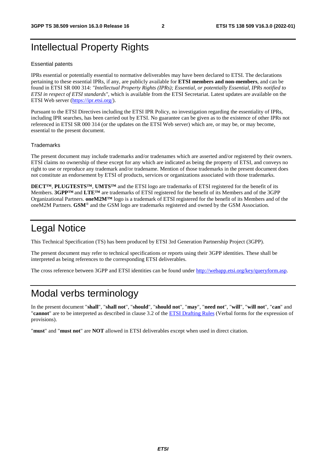# Intellectual Property Rights

#### Essential patents

IPRs essential or potentially essential to normative deliverables may have been declared to ETSI. The declarations pertaining to these essential IPRs, if any, are publicly available for **ETSI members and non-members**, and can be found in ETSI SR 000 314: *"Intellectual Property Rights (IPRs); Essential, or potentially Essential, IPRs notified to ETSI in respect of ETSI standards"*, which is available from the ETSI Secretariat. Latest updates are available on the ETSI Web server ([https://ipr.etsi.org/\)](https://ipr.etsi.org/).

Pursuant to the ETSI Directives including the ETSI IPR Policy, no investigation regarding the essentiality of IPRs, including IPR searches, has been carried out by ETSI. No guarantee can be given as to the existence of other IPRs not referenced in ETSI SR 000 314 (or the updates on the ETSI Web server) which are, or may be, or may become, essential to the present document.

#### **Trademarks**

The present document may include trademarks and/or tradenames which are asserted and/or registered by their owners. ETSI claims no ownership of these except for any which are indicated as being the property of ETSI, and conveys no right to use or reproduce any trademark and/or tradename. Mention of those trademarks in the present document does not constitute an endorsement by ETSI of products, services or organizations associated with those trademarks.

**DECT™**, **PLUGTESTS™**, **UMTS™** and the ETSI logo are trademarks of ETSI registered for the benefit of its Members. **3GPP™** and **LTE™** are trademarks of ETSI registered for the benefit of its Members and of the 3GPP Organizational Partners. **oneM2M™** logo is a trademark of ETSI registered for the benefit of its Members and of the oneM2M Partners. **GSM**® and the GSM logo are trademarks registered and owned by the GSM Association.

# Legal Notice

This Technical Specification (TS) has been produced by ETSI 3rd Generation Partnership Project (3GPP).

The present document may refer to technical specifications or reports using their 3GPP identities. These shall be interpreted as being references to the corresponding ETSI deliverables.

The cross reference between 3GPP and ETSI identities can be found under<http://webapp.etsi.org/key/queryform.asp>.

# Modal verbs terminology

In the present document "**shall**", "**shall not**", "**should**", "**should not**", "**may**", "**need not**", "**will**", "**will not**", "**can**" and "**cannot**" are to be interpreted as described in clause 3.2 of the [ETSI Drafting Rules](https://portal.etsi.org/Services/editHelp!/Howtostart/ETSIDraftingRules.aspx) (Verbal forms for the expression of provisions).

"**must**" and "**must not**" are **NOT** allowed in ETSI deliverables except when used in direct citation.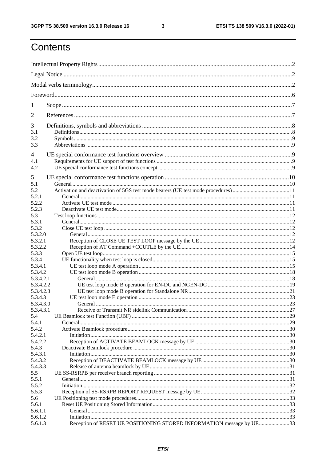$\mathbf{3}$ 

# Contents

| 1              |                                                                      |    |
|----------------|----------------------------------------------------------------------|----|
| $\overline{2}$ |                                                                      |    |
| 3              |                                                                      |    |
| 3.1            |                                                                      |    |
| 3.2            |                                                                      |    |
| 3.3            |                                                                      |    |
| 4              |                                                                      |    |
| 4.1            |                                                                      |    |
| 4.2            |                                                                      |    |
| 5              |                                                                      |    |
| 5.1            |                                                                      |    |
| 5.2            |                                                                      |    |
| 5.2.1          |                                                                      |    |
| 5.2.2          |                                                                      |    |
| 5.2.3          |                                                                      |    |
| 5.3            |                                                                      |    |
| 5.3.1          |                                                                      |    |
| 5.3.2          |                                                                      |    |
| 5.3.2.0        |                                                                      |    |
| 5.3.2.1        |                                                                      |    |
| 5.3.2.2        |                                                                      |    |
| 5.3.3          |                                                                      |    |
| 5.3.4          |                                                                      |    |
| 5.3.4.1        |                                                                      |    |
| 5.3.4.2        |                                                                      |    |
| 5.3.4.2.1      |                                                                      |    |
| 5.3.4.2.2      |                                                                      |    |
| 5.3.4.2.3      |                                                                      |    |
| 5.3.4.3        |                                                                      |    |
| 5.3.4.3.0      |                                                                      | 23 |
| 5.3.4.3.1      |                                                                      |    |
| 5.4<br>5.4.1   |                                                                      |    |
| 5.4.2          |                                                                      |    |
| 5.4.2.1        |                                                                      |    |
| 5.4.2.2        |                                                                      |    |
| 5.4.3          |                                                                      |    |
| 5.4.3.1        |                                                                      |    |
| 5.4.3.2        |                                                                      |    |
| 5.4.3.3        |                                                                      |    |
| 5.5            |                                                                      |    |
| 5.5.1          |                                                                      |    |
| 5.5.2          |                                                                      |    |
| 5.5.3          |                                                                      |    |
| 5.6            |                                                                      |    |
| 5.6.1          |                                                                      |    |
| 5.6.1.1        |                                                                      |    |
| 5.6.1.2        |                                                                      |    |
| 5.6.1.3        | Reception of RESET UE POSITIONING STORED INFORMATION message by UE33 |    |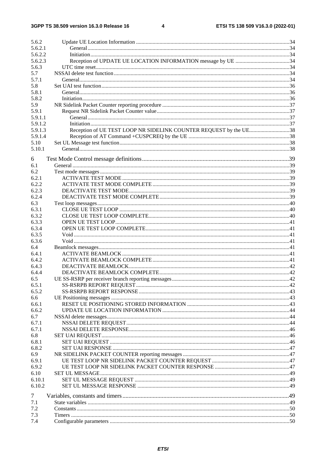| 5.6.2   |                                                                   |  |
|---------|-------------------------------------------------------------------|--|
| 5.6.2.1 |                                                                   |  |
| 5.6.2.2 |                                                                   |  |
| 5.6.2.3 |                                                                   |  |
| 5.6.3   |                                                                   |  |
| 5.7     |                                                                   |  |
| 5.7.1   |                                                                   |  |
| 5.8     |                                                                   |  |
| 5.8.1   |                                                                   |  |
| 5.8.2   |                                                                   |  |
| 5.9     |                                                                   |  |
| 5.9.1   |                                                                   |  |
| 5.9.1.1 |                                                                   |  |
| 5.9.1.2 |                                                                   |  |
| 5.9.1.3 | Reception of UE TEST LOOP NR SIDELINK COUNTER REQUEST by the UE38 |  |
| 5.9.1.4 |                                                                   |  |
| 5.10    |                                                                   |  |
| 5.10.1  |                                                                   |  |
|         |                                                                   |  |
| 6       |                                                                   |  |
| 6.1     |                                                                   |  |
| 6.2     |                                                                   |  |
| 6.2.1   |                                                                   |  |
| 6.2.2   |                                                                   |  |
| 6.2.3   |                                                                   |  |
| 6.2.4   |                                                                   |  |
| 6.3     |                                                                   |  |
| 6.3.1   |                                                                   |  |
| 6.3.2   |                                                                   |  |
| 6.3.3   |                                                                   |  |
| 6.3.4   |                                                                   |  |
| 6.3.5   |                                                                   |  |
| 6.3.6   |                                                                   |  |
| 6.4     |                                                                   |  |
| 6.4.1   |                                                                   |  |
| 6.4.2   |                                                                   |  |
| 6.4.3   |                                                                   |  |
| 6.4.4   |                                                                   |  |
| 6.5     |                                                                   |  |
| 6.5.1   |                                                                   |  |
| 6.5.2   |                                                                   |  |
| 6.6     |                                                                   |  |
| 6.6.1   |                                                                   |  |
| 6.6.2   |                                                                   |  |
| 6.7     |                                                                   |  |
| 6.7.1   |                                                                   |  |
| 6.7.1   |                                                                   |  |
| 6.8     |                                                                   |  |
| 6.8.1   |                                                                   |  |
| 6.8.2   |                                                                   |  |
| 6.9     |                                                                   |  |
| 6.9.1   |                                                                   |  |
| 6.9.2   |                                                                   |  |
| 6.10    |                                                                   |  |
| 6.10.1  |                                                                   |  |
| 6.10.2  |                                                                   |  |
|         |                                                                   |  |
| 7       |                                                                   |  |
| 7.1     |                                                                   |  |
| 7.2     |                                                                   |  |
| 7.3     |                                                                   |  |
| 7.4     |                                                                   |  |
|         |                                                                   |  |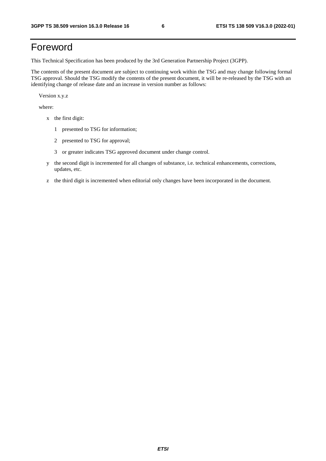# Foreword

This Technical Specification has been produced by the 3rd Generation Partnership Project (3GPP).

The contents of the present document are subject to continuing work within the TSG and may change following formal TSG approval. Should the TSG modify the contents of the present document, it will be re-released by the TSG with an identifying change of release date and an increase in version number as follows:

Version x.y.z

where:

- x the first digit:
	- 1 presented to TSG for information;
	- 2 presented to TSG for approval;
	- 3 or greater indicates TSG approved document under change control.
- y the second digit is incremented for all changes of substance, i.e. technical enhancements, corrections, updates, etc.
- z the third digit is incremented when editorial only changes have been incorporated in the document.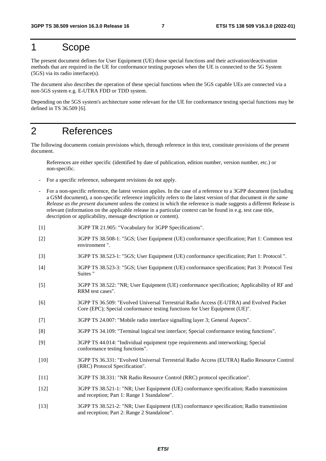# 1 Scope

The present document defines for User Equipment (UE) those special functions and their activation/deactivation methods that are required in the UE for conformance testing purposes when the UE is connected to the 5G System (5GS) via its radio interface(s).

The document also describes the operation of these special functions when the 5GS capable UEs are connected via a non-5GS system e.g. E-UTRA FDD or TDD system.

Depending on the 5GS system's architecture some relevant for the UE for conformance testing special functions may be defined in TS 36.509 [6].

# 2 References

The following documents contain provisions which, through reference in this text, constitute provisions of the present document.

 References are either specific (identified by date of publication, edition number, version number, etc.) or non-specific.

- For a specific reference, subsequent revisions do not apply.
- For a non-specific reference, the latest version applies. In the case of a reference to a 3GPP document (including a GSM document), a non-specific reference implicitly refers to the latest version of that document *in the same Release as the present document* unless the context in which the reference is made suggests a different Release is relevant (information on the applicable release in a particular context can be found in e.g. test case title, description or applicability, message description or content).
- [1] 3GPP TR 21.905: "Vocabulary for 3GPP Specifications".
- [2] 3GPP TS 38.508-1: "5GS; User Equipment (UE) conformance specification; Part 1: Common test environment ".
- [3] 3GPP TS 38.523-1: "5GS; User Equipment (UE) conformance specification; Part 1: Protocol ".
- [4] 3GPP TS 38.523-3: "5GS; User Equipment (UE) conformance specification; Part 3: Protocol Test Suites "
- [5] 3GPP TS 38.522: "NR; User Equipment (UE) conformance specification; Applicability of RF and RRM test cases".
- [6] 3GPP TS 36.509: "Evolved Universal Terrestrial Radio Access (E-UTRA) and Evolved Packet Core (EPC); Special conformance testing functions for User Equipment (UE)".
- [7] 3GPP TS 24.007: "Mobile radio interface signalling layer 3; General Aspects".
- [8] 3GPP TS 34.109: "Terminal logical test interface; Special conformance testing functions".
- [9] 3GPP TS 44.014: "Individual equipment type requirements and interworking; Special conformance testing functions".
- [10] 3GPP TS 36.331: "Evolved Universal Terrestrial Radio Access (EUTRA) Radio Resource Control (RRC) Protocol Specification".
- [11] 3GPP TS 38.331: "NR Radio Resource Control (RRC) protocol specification".
- [12] 3GPP TS 38.521-1: "NR; User Equipment (UE) conformance specification; Radio transmission and reception; Part 1: Range 1 Standalone".
- [13] 3GPP TS 38.521-2: "NR; User Equipment (UE) conformance specification; Radio transmission and reception; Part 2: Range 2 Standalone".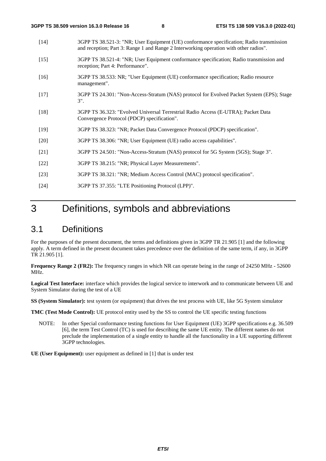- [14] 3GPP TS 38.521-3: "NR; User Equipment (UE) conformance specification; Radio transmission and reception; Part 3: Range 1 and Range 2 Interworking operation with other radios".
- [15] 3GPP TS 38.521-4: "NR; User Equipment conformance specification; Radio transmission and reception; Part 4: Performance".
- [16] 3GPP TS 38.533: NR; "User Equipment (UE) conformance specification; Radio resource management".
- [17] 3GPP TS 24.301: "Non-Access-Stratum (NAS) protocol for Evolved Packet System (EPS); Stage 3".
- [18] 3GPP TS 36.323: "Evolved Universal Terrestrial Radio Access (E-UTRA); Packet Data Convergence Protocol (PDCP) specification".
- [19] 3GPP TS 38.323: "NR; Packet Data Convergence Protocol (PDCP) specification".
- [20] 3GPP TS 38.306: "NR; User Equipment (UE) radio access capabilities".
- [21] 3GPP TS 24.501: "Non-Access-Stratum (NAS) protocol for 5G System (5GS); Stage 3".
- [22] 3GPP TS 38.215: "NR; Physical Layer Measurements".
- [23] 3GPP TS 38.321: "NR; Medium Access Control (MAC) protocol specification".
- [24] 3GPP TS 37.355: "LTE Positioning Protocol (LPP)".

# 3 Definitions, symbols and abbreviations

# 3.1 Definitions

For the purposes of the present document, the terms and definitions given in 3GPP TR 21.905 [1] and the following apply. A term defined in the present document takes precedence over the definition of the same term, if any, in 3GPP TR 21.905 [1].

**Frequency Range 2 (FR2):** The frequency ranges in which NR can operate being in the range of 24250 MHz - 52600 MHz.

**Logical Test Interface:** interface which provides the logical service to interwork and to communicate between UE and System Simulator during the test of a UE

**SS (System Simulator):** test system (or equipment) that drives the test process with UE, like 5G System simulator

**TMC (Test Mode Control):** UE protocol entity used by the SS to control the UE specific testing functions

NOTE: In other Special conformance testing functions for User Equipment (UE) 3GPP specifications e.g. 36.509 [6], the term Test Control (TC) is used for describing the same UE entity. The different names do not preclude the implementation of a single entity to handle all the functionality in a UE supporting different 3GPP technologies.

**UE (User Equipment):** user equipment as defined in [1] that is under test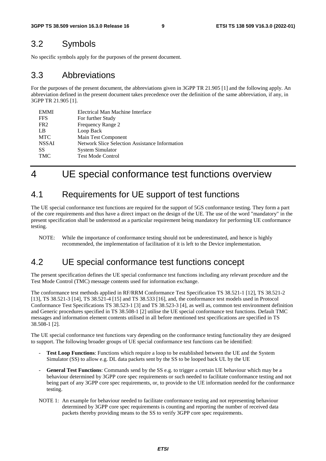## 3.2 Symbols

No specific symbols apply for the purposes of the present document.

### 3.3 Abbreviations

For the purposes of the present document, the abbreviations given in 3GPP TR 21.905 [1] and the following apply. An abbreviation defined in the present document takes precedence over the definition of the same abbreviation, if any, in 3GPP TR 21.905 [1].

| <b>EMMI</b>     | Electrical Man Machine Interface                      |
|-----------------|-------------------------------------------------------|
| <b>FFS</b>      | For further Study                                     |
| FR <sub>2</sub> | Frequency Range 2                                     |
| LB              | Loop Back                                             |
| <b>MTC</b>      | Main Test Component                                   |
| <b>NSSAI</b>    | <b>Network Slice Selection Assistance Information</b> |
| SS              | System Simulator                                      |
| <b>TMC</b>      | <b>Test Mode Control</b>                              |
|                 |                                                       |

# 4 UE special conformance test functions overview

# 4.1 Requirements for UE support of test functions

The UE special conformance test functions are required for the support of 5GS conformance testing. They form a part of the core requirements and thus have a direct impact on the design of the UE. The use of the word "mandatory" in the present specification shall be understood as a particular requirement being mandatory for performing UE conformance testing.

NOTE: While the importance of conformance testing should not be underestimated, and hence is highly recommended, the implementation of facilitation of it is left to the Device implementation.

# 4.2 UE special conformance test functions concept

The present specification defines the UE special conformance test functions including any relevant procedure and the Test Mode Control (TMC) message contents used for information exchange.

The conformance test methods applied in RF/RRM Conformance Test Specification TS 38.521-1 [12], TS 38.521-2 [13], TS 38.521-3 [14], TS 38.521-4 [15] and TS 38.533 [16], and, the conformance test models used in Protocol Conformance Test Specifications TS 38.523-1 [3] and TS 38.523-3 [4], as well as, common test environment definition and Generic procedures specified in TS 38.508-1 [2] utilise the UE special conformance test functions. Default TMC messages and information element contents utilised in all before mentioned test specifications are specified in TS 38.508-1 [2].

The UE special conformance test functions vary depending on the conformance testing functionality they are designed to support. The following broader groups of UE special conformance test functions can be identified:

- Test Loop Functions: Functions which require a loop to be established between the UE and the System Simulator (SS) to allow e.g. DL data packets sent by the SS to be looped back UL by the UE
- General Test Functions: Commands send by the SS e.g. to trigger a certain UE behaviour which may be a behaviour determined by 3GPP core spec requirements or such needed to facilitate conformance testing and not being part of any 3GPP core spec requirements, or, to provide to the UE information needed for the conformance testing.
- NOTE 1: An example for behaviour needed to facilitate conformance testing and not representing behaviour determined by 3GPP core spec requirements is counting and reporting the number of received data packets thereby providing means to the SS to verify 3GPP core spec requirements.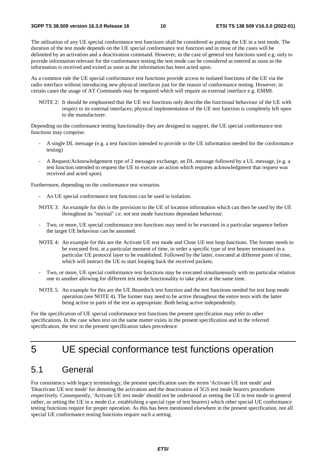The utilisation of any UE special conformance test functions shall be considered as putting the UE in a test mode. The duration of the test mode depends on the UE special conformance test function and in most of the cases will be delimited by an activation and a deactivation command. However, in the case of general test functions used e.g. only to provide information relevant for the conformance testing the test mode can be considered as entered as soon as the information is received and exited as soon as the information has been acted upon.

As a common rule the UE special conformance test functions provide access to isolated functions of the UE via the radio interface without introducing new physical interfaces just for the reason of conformance testing. However, in certain cases the usage of AT Commands may be required which will require an external interface e.g. EMMI.

NOTE 2: It should be emphasised that the UE test functions only describe the functional behaviour of the UE with respect to its external interfaces; physical implementation of the UE test function is completely left open to the manufacturer.

Depending on the conformance testing functionality they are designed to support, the UE special conformance test functions may comprise:

- A single DL message (e.g. a test function intended to provide to the UE information needed for the conformance testing)
- A Request/Acknowledgement type of 2 messages exchange, an DL message followed by a UL message, (e.g. a test function intended to request the UE to execute an action which requires acknowledgment that request was received and acted upon)

Furthermore, depending on the conformance test scenarios

An UE special conformance test function can be used in isolation.

NOTE 3: An example for this is the provision to the UE of location information which can then be used by the UE throughout its "normal" i.e. not test mode functions dependant behaviour.

- Two, or more, UE special conformance test functions may need to be executed in a particular sequence before the target UE behaviour can be assumed.
- NOTE 4: An example for this are the Activate UE test mode and Close UE test loop functions. The former needs to be executed first, at a particular moment of time, in order a specific type of test bearer terminated in a particular UE protocol layer to be established. Followed by the latter, executed at different point of time, which will instruct the UE to start looping back the received packets.
- Two, or more, UE special conformance test functions may be executed simultaneously with no particular relation one to another allowing for different test mode functionality to take place at the same time.
- NOTE 5: An example for this are the UE Beamlock test function and the test functions needed for test loop mode operation (see NOTE 4). The former may need to be active throughout the entire tests with the latter being active in parts of the test as appropriate. Both being active independently.

For the specification of UE special conformance test functions the present specification may refer to other specifications. In the case when text on the same matter exists in the present specification and in the referred specification, the text in the present specification takes precedence.

# 5 UE special conformance test functions operation

# 5.1 General

For consistency with legacy terminology, the present specification uses the terms 'Activate UE test mode' and 'Deactivate UE test mode' for denoting the activation and the deactivation of 5GS test mode bearers procedures respectively. Consequently, 'Activate UE test mode' should not be understood as setting the UE in test mode in general rather, as setting the UE in a mode (i.e. establishing a special type of test bearers) which other special UE conformance testing functions require for proper operation. As this has been mentioned elsewhere in the present specification, not all special UE conformance testing functions require such a setting.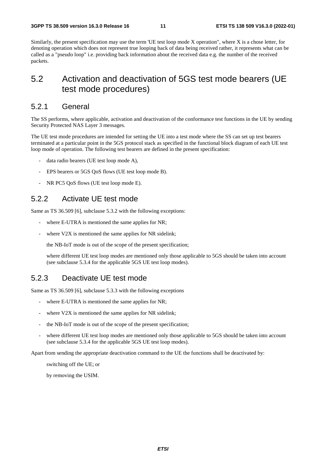Similarly, the present specification may use the term 'UE test loop mode X operation", where X is a chose letter, for denoting operation which does not represent true looping back of data being received rather, it represents what can be called as a "pseudo loop" i.e. providing back information about the received data e.g. the number of the received packets.

# 5.2 Activation and deactivation of 5GS test mode bearers (UE test mode procedures)

#### 5.2.1 General

The SS performs, where applicable, activation and deactivation of the conformance test functions in the UE by sending Security Protected NAS Layer 3 messages.

The UE test mode procedures are intended for setting the UE into a test mode where the SS can set up test bearers terminated at a particular point in the 5GS protocol stack as specified in the functional block diagram of each UE test loop mode of operation. The following test bearers are defined in the present specification:

- data radio bearers (UE test loop mode A),
- EPS bearers or 5GS QoS flows (UE test loop mode B).
- NR PC5 QoS flows (UE test loop mode E).

#### 5.2.2 Activate UE test mode

Same as TS 36.509 [6], subclause 5.3.2 with the following exceptions:

- where E-UTRA is mentioned the same applies for NR;
- where  $V2X$  is mentioned the same applies for NR sidelink;

the NB-IoT mode is out of the scope of the present specification;

where different UE test loop modes are mentioned only those applicable to 5GS should be taken into account (see subclause 5.3.4 for the applicable 5GS UE test loop modes).

#### 5.2.3 Deactivate UE test mode

Same as TS 36.509 [6], subclause 5.3.3 with the following exceptions

- where E-UTRA is mentioned the same applies for NR;
- where  $V2X$  is mentioned the same applies for NR sidelink;
- the NB-IoT mode is out of the scope of the present specification;
- where different UE test loop modes are mentioned only those applicable to 5GS should be taken into account (see subclause 5.3.4 for the applicable 5GS UE test loop modes).

Apart from sending the appropriate deactivation command to the UE the functions shall be deactivated by:

switching off the UE; or

by removing the USIM.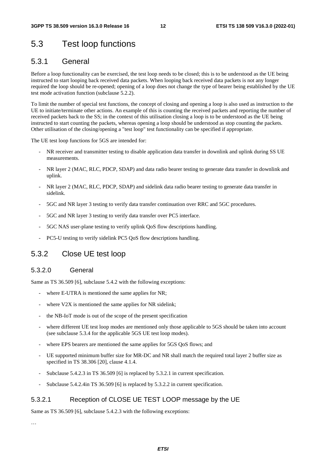# 5.3 Test loop functions

### 5.3.1 General

Before a loop functionality can be exercised, the test loop needs to be closed; this is to be understood as the UE being instructed to start looping back received data packets. When looping back received data packets is not any longer required the loop should be re-opened; opening of a loop does not change the type of bearer being established by the UE test mode activation function (subclause 5.2.2).

To limit the number of special test functions, the concept of closing and opening a loop is also used as instruction to the UE to initiate/terminate other actions. An example of this is counting the received packets and reporting the number of received packets back to the SS; in the context of this utilisation closing a loop is to be understood as the UE being instructed to start counting the packets, whereas opening a loop should be understood as stop counting the packets. Other utilisation of the closing/opening a "test loop" test functionality can be specified if appropriate.

The UE test loop functions for 5GS are intended for:

- NR receiver and transmitter testing to disable application data transfer in downlink and uplink during SS UE measurements.
- NR layer 2 (MAC, RLC, PDCP, SDAP) and data radio bearer testing to generate data transfer in downlink and uplink.
- NR layer 2 (MAC, RLC, PDCP, SDAP) and sidelink data radio bearer testing to generate data transfer in sidelink.
- 5GC and NR layer 3 testing to verify data transfer continuation over RRC and 5GC procedures.
- 5GC and NR layer 3 testing to verify data transfer over PC5 interface.
- 5GC NAS user-plane testing to verify uplink QoS flow descriptions handling.
- PC5-U testing to verify sidelink PC5 QoS flow descriptions handling.

### 5.3.2 Close UE test loop

#### 5.3.2.0 General

Same as TS 36.509 [6], subclause 5.4.2 with the following exceptions:

- where E-UTRA is mentioned the same applies for NR;
- where  $V2X$  is mentioned the same applies for NR sidelink;
- the NB-IoT mode is out of the scope of the present specification
- where different UE test loop modes are mentioned only those applicable to 5GS should be taken into account (see subclause 5.3.4 for the applicable 5GS UE test loop modes).
- where EPS bearers are mentioned the same applies for 5GS QoS flows; and
- UE supported minimum buffer size for MR-DC and NR shall match the required total layer 2 buffer size as specified in TS 38.306 [20], clause 4.1.4.
- Subclause 5.4.2.3 in TS 36.509 [6] is replaced by 5.3.2.1 in current specification.
- Subclause 5.4.2.4in TS 36.509 [6] is replaced by 5.3.2.2 in current specification.

#### 5.3.2.1 Reception of CLOSE UE TEST LOOP message by the UE

Same as TS 36.509 [6], subclause 5.4.2.3 with the following exceptions:

…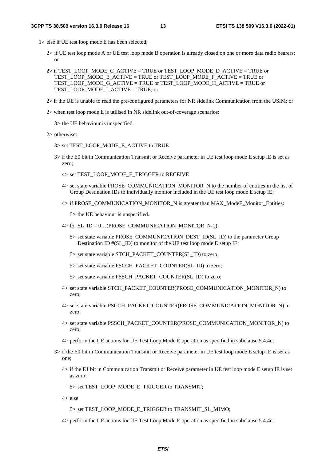1> else if UE test loop mode E has been selected;

- 2> if UE test loop mode A or UE test loop mode B operation is already closed on one or more data radio bearers; or
- 2> if TEST\_LOOP\_MODE\_C\_ACTIVE = TRUE or TEST\_LOOP\_MODE\_D\_ACTIVE = TRUE or TEST\_LOOP\_MODE\_E\_ACTIVE = TRUE or TEST\_LOOP\_MODE\_F\_ACTIVE = TRUE or TEST\_LOOP\_MODE\_G\_ACTIVE = TRUE or TEST\_LOOP\_MODE\_H\_ACTIVE = TRUE or TEST\_LOOP\_MODE\_I\_ACTIVE = TRUE; or
- 2> if the UE is unable to read the pre-configured parameters for NR sidelink Communication from the USIM; or
- 2> when test loop mode E is utilised in NR sidelink out-of-coverage scenarios:
	- 3> the UE behaviour is unspecified.
- 2> otherwise:
	- 3> set TEST\_LOOP\_MODE\_E\_ACTIVE to TRUE
	- 3> if the E0 bit in Communication Transmit or Receive parameter in UE test loop mode E setup IE is set as zero;
		- 4> set TEST\_LOOP\_MODE\_E\_TRIGGER to RECEIVE
		- 4> set state variable PROSE\_COMMUNICATION\_MONITOR\_N to the number of entities in the list of Group Destination IDs to individually monitor included in the UE test loop mode E setup IE;
		- 4> if PROSE\_COMMUNICATION\_MONITOR\_N is greater than MAX\_ModeE\_Monitor\_Entities:
			- 5> the UE behaviour is unspecified.
		- $4>$  for SL\_ID = 0...(PROSE\_COMMUNICATION\_MONITOR\_N-1):
			- 5> set state variable PROSE\_COMMUNICATION\_DEST\_ID(SL\_ID) to the parameter Group Destination ID #(SL\_ID) to monitor of the UE test loop mode E setup IE;
			- 5> set state variable STCH\_PACKET\_COUNTER(SL\_ID) to zero;
			- 5> set state variable PSCCH\_PACKET\_COUNTER(SL\_ID) to zero;
			- 5> set state variable PSSCH\_PACKET\_COUNTER(SL\_ID) to zero;
		- 4> set state variable STCH\_PACKET\_COUNTER(PROSE\_COMMUNICATION\_MONITOR\_N) to zero;
		- 4> set state variable PSCCH\_PACKET\_COUNTER(PROSE\_COMMUNICATION\_MONITOR\_N) to zero;
		- 4> set state variable PSSCH\_PACKET\_COUNTER(PROSE\_COMMUNICATION\_MONITOR\_N) to zero;
		- 4> perform the UE actions for UE Test Loop Mode E operation as specified in subclause 5.4.4c;
	- 3> if the E0 bit in Communication Transmit or Receive parameter in UE test loop mode E setup IE is set as one;
		- 4> if the E1 bit in Communication Transmit or Receive parameter in UE test loop mode E setup IE is set as zero;
			- 5> set TEST\_LOOP\_MODE\_E\_TRIGGER to TRANSMIT;
		- 4> else
			- 5> set TEST\_LOOP\_MODE\_E\_TRIGGER to TRANSMIT\_SL\_MIMO;
		- 4> perform the UE actions for UE Test Loop Mode E operation as specified in subclause 5.4.4c;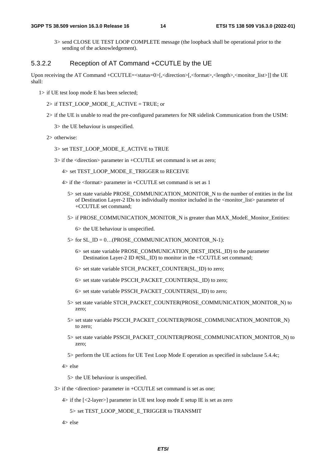3> send CLOSE UE TEST LOOP COMPLETE message (the loopback shall be operational prior to the sending of the acknowledgement).

#### 5.3.2.2 Reception of AT Command +CCUTLE by the UE

Upon receiving the AT Command +CCUTLE= $\lt$ status=0 $\lt$ [, $\lt$ direction $\gt$ [, $\lt$ format $\gt$ , $\lt$ length $\gt$  $\lt$ monitor\_list $\gt$ ]] the UE shall:

- 1> if UE test loop mode E has been selected;
	- 2> if TEST\_LOOP\_MODE\_E\_ACTIVE = TRUE; or
	- 2> if the UE is unable to read the pre-configured parameters for NR sidelink Communication from the USIM:
		- 3> the UE behaviour is unspecified.
	- 2> otherwise:

#### 3> set TEST\_LOOP\_MODE\_E\_ACTIVE to TRUE

- 3> if the <direction> parameter in +CCUTLE set command is set as zero;
	- 4> set TEST\_LOOP\_MODE\_E\_TRIGGER to RECEIVE
	- 4> if the <format> parameter in +CCUTLE set command is set as 1
		- 5> set state variable PROSE\_COMMUNICATION\_MONITOR\_N to the number of entities in the list of Destination Layer-2 IDs to individually monitor included in the <monitor\_list> parameter of +CCUTLE set command;
		- 5> if PROSE\_COMMUNICATION\_MONITOR\_N is greater than MAX\_ModeE\_Monitor\_Entities:
			- 6> the UE behaviour is unspecified.
		- $5>$  for SL\_ID = 0...(PROSE\_COMMUNICATION\_MONITOR\_N-1):
			- 6> set state variable PROSE\_COMMUNICATION\_DEST\_ID(SL\_ID) to the parameter Destination Layer-2 ID #(SL\_ID) to monitor in the +CCUTLE set command;
			- 6> set state variable STCH\_PACKET\_COUNTER(SL\_ID) to zero;
			- 6> set state variable PSCCH\_PACKET\_COUNTER(SL\_ID) to zero;
			- 6> set state variable PSSCH\_PACKET\_COUNTER(SL\_ID) to zero;
		- 5> set state variable STCH\_PACKET\_COUNTER(PROSE\_COMMUNICATION\_MONITOR\_N) to zero;
		- 5> set state variable PSCCH\_PACKET\_COUNTER(PROSE\_COMMUNICATION\_MONITOR\_N) to zero;
		- 5> set state variable PSSCH\_PACKET\_COUNTER(PROSE\_COMMUNICATION\_MONITOR\_N) to zero;
		- 5> perform the UE actions for UE Test Loop Mode E operation as specified in subclause 5.4.4c;

4> else

5> the UE behaviour is unspecified.

- 3> if the <direction> parameter in +CCUTLE set command is set as one;
	- 4> if the [<2-layer>] parameter in UE test loop mode E setup IE is set as zero

5> set TEST\_LOOP\_MODE\_E\_TRIGGER to TRANSMIT

4> else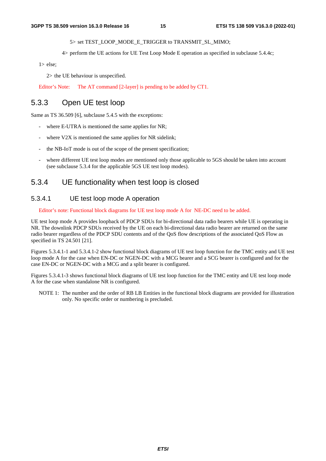#### 5> set TEST\_LOOP\_MODE\_E\_TRIGGER to TRANSMIT\_SL\_MIMO;

4> perform the UE actions for UE Test Loop Mode E operation as specified in subclause 5.4.4c;

1> else;

2> the UE behaviour is unspecified.

Editor's Note: The AT command [2-layer] is pending to be added by CT1.

### 5.3.3 Open UE test loop

Same as TS 36.509 [6], subclause 5.4.5 with the exceptions:

- where E-UTRA is mentioned the same applies for NR;
- where  $V2X$  is mentioned the same applies for NR sidelink;
- the NB-IoT mode is out of the scope of the present specification;
- where different UE test loop modes are mentioned only those applicable to 5GS should be taken into account (see subclause 5.3.4 for the applicable 5GS UE test loop modes).

#### 5.3.4 UE functionality when test loop is closed

#### 5.3.4.1 UE test loop mode A operation

Editor's note: Functional block diagrams for UE test loop mode A for NE-DC need to be added.

UE test loop mode A provides loopback of PDCP SDUs for bi-directional data radio bearers while UE is operating in NR. The downlink PDCP SDUs received by the UE on each bi-directional data radio bearer are returned on the same radio bearer regardless of the PDCP SDU contents and of the QoS flow descriptions of the associated QoS Flow as specified in TS 24.501 [21].

Figures 5.3.4.1-1 and 5.3.4.1-2 show functional block diagrams of UE test loop function for the TMC entity and UE test loop mode A for the case when EN-DC or NGEN-DC with a MCG bearer and a SCG bearer is configured and for the case EN-DC or NGEN-DC with a MCG and a split bearer is configured.

Figures 5.3.4.1-3 shows functional block diagrams of UE test loop function for the TMC entity and UE test loop mode A for the case when standalone NR is configured.

NOTE 1: The number and the order of RB LB Entities in the functional block diagrams are provided for illustration only. No specific order or numbering is precluded.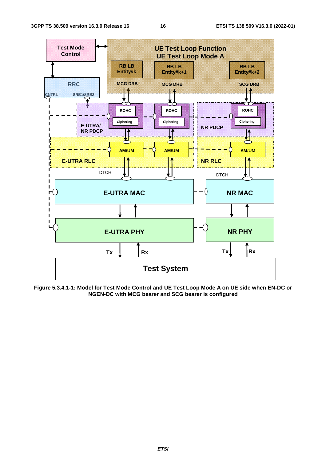

**Figure 5.3.4.1-1: Model for Test Mode Control and UE Test Loop Mode A on UE side when EN-DC or NGEN-DC with MCG bearer and SCG bearer is configured**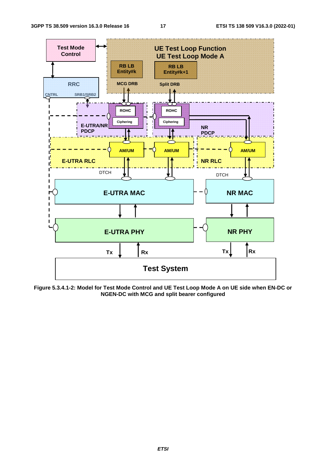

**Figure 5.3.4.1-2: Model for Test Mode Control and UE Test Loop Mode A on UE side when EN-DC or NGEN-DC with MCG and split bearer configured**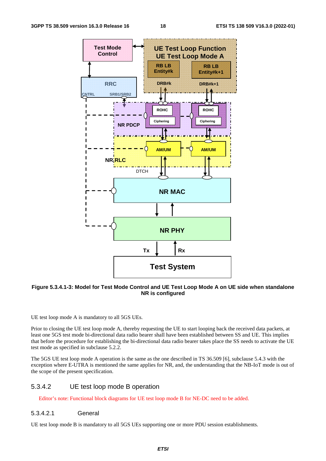

#### **Figure 5.3.4.1-3: Model for Test Mode Control and UE Test Loop Mode A on UE side when standalone NR is configured**

UE test loop mode A is mandatory to all 5GS UEs.

Prior to closing the UE test loop mode A, thereby requesting the UE to start looping back the received data packets, at least one 5GS test mode bi-directional data radio bearer shall have been established between SS and UE. This implies that before the procedure for establishing the bi-directional data radio bearer takes place the SS needs to activate the UE test mode as specified in subclause 5.2.2.

The 5GS UE test loop mode A operation is the same as the one described in TS 36.509 [6], subclause 5.4.3 with the exception where E-UTRA is mentioned the same applies for NR, and, the understanding that the NB-IoT mode is out of the scope of the present specification.

#### 5.3.4.2 UE test loop mode B operation

Editor's note: Functional block diagrams for UE test loop mode B for NE-DC need to be added.

#### 5.3.4.2.1 General

UE test loop mode B is mandatory to all 5GS UEs supporting one or more PDU session establishments.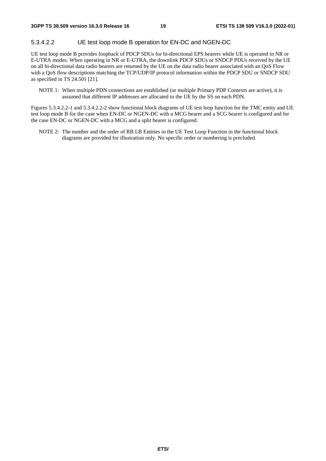#### 5.3.4.2.2 UE test loop mode B operation for EN-DC and NGEN-DC

UE test loop mode B provides loopback of PDCP SDUs for bi-directional EPS bearers while UE is operated in NR or E-UTRA modes. When operating in NR or E-UTRA, the downlink PDCP SDUs or SNDCP PDUs received by the UE on all bi-directional data radio bearers are returned by the UE on the data radio bearer associated with an QoS Flow with a QoS flow descriptions matching the TCP/UDP/IP protocol information within the PDCP SDU or SNDCP SDU as specified in TS 24.501 [21].

NOTE 1: When multiple PDN connections are established (or multiple Primary PDP Contexts are active), it is assumed that different IP addresses are allocated to the UE by the SS on each PDN.

Figures 5.3.4.2.2-1 and 5.3.4.2.2-2 show functional block diagrams of UE test loop function for the TMC entity and UE test loop mode B for the case when EN-DC or NGEN-DC with a MCG bearer and a SCG bearer is configured and for the case EN-DC or NGEN-DC with a MCG and a split bearer is configured.

NOTE 2: The number and the order of RB LB Entities in the UE Test Loop Function in the functional block diagrams are provided for illustration only. No specific order or numbering is precluded.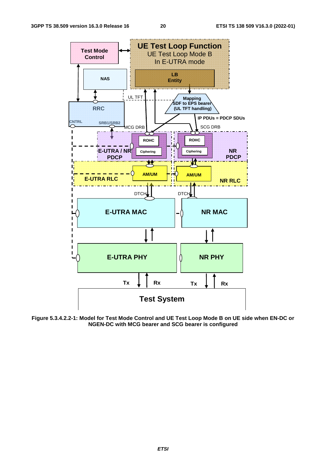

**Figure 5.3.4.2.2-1: Model for Test Mode Control and UE Test Loop Mode B on UE side when EN-DC or NGEN-DC with MCG bearer and SCG bearer is configured**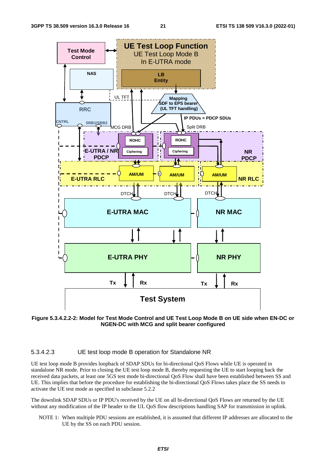



#### 5.3.4.2.3 UE test loop mode B operation for Standalone NR

UE test loop mode B provides loopback of SDAP SDUs for bi-directional QoS Flows while UE is operated in standalone NR mode. Prior to closing the UE test loop mode B, thereby requesting the UE to start looping back the received data packets, at least one 5GS test mode bi-directional QoS Flow shall have been established between SS and UE. This implies that before the procedure for establishing the bi-directional QoS Flows takes place the SS needs to activate the UE test mode as specified in subclause 5.2.2

The downlink SDAP SDUs or IP PDU's received by the UE on all bi-directional QoS Flows are returned by the UE without any modification of the IP header to the UL QoS flow descriptions handling SAP for transmission in uplink.

NOTE 1: When multiple PDU sessions are established, it is assumed that different IP addresses are allocated to the UE by the SS on each PDU session.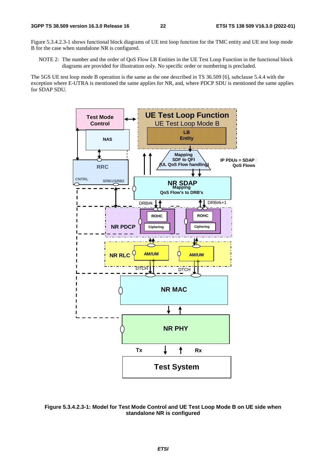Figure 5.3.4.2.3-1 shows functional block diagrams of UE test loop function for the TMC entity and UE test loop mode B for the case when standalone NR is configured.

NOTE 2: The number and the order of QoS Flow LB Entities in the UE Test Loop Function in the functional block diagrams are provided for illustration only. No specific order or numbering is precluded.

The 5GS UE test loop mode B operation is the same as the one described in TS 36.509 [6], subclause 5.4.4 with the exception where E-UTRA is mentioned the same applies for NR, and, where PDCP SDU is mentioned the same applies for SDAP SDU.



**Figure 5.3.4.2.3-1: Model for Test Mode Control and UE Test Loop Mode B on UE side when standalone NR is configured**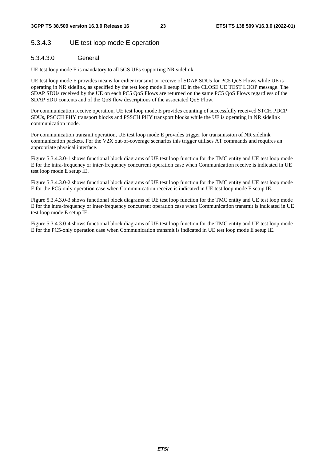#### 5.3.4.3 UE test loop mode E operation

#### 5.3.4.3.0 General

UE test loop mode E is mandatory to all 5GS UEs supporting NR sidelink.

UE test loop mode E provides means for either transmit or receive of SDAP SDUs for PC5 QoS Flows while UE is operating in NR sidelink, as specified by the test loop mode E setup IE in the CLOSE UE TEST LOOP message. The SDAP SDUs received by the UE on each PC5 QoS Flows are returned on the same PC5 QoS Flows regardless of the SDAP SDU contents and of the QoS flow descriptions of the associated QoS Flow.

For communication receive operation, UE test loop mode E provides counting of successfully received STCH PDCP SDUs, PSCCH PHY transport blocks and PSSCH PHY transport blocks while the UE is operating in NR sidelink communication mode.

For communication transmit operation, UE test loop mode E provides trigger for transmission of NR sidelink communication packets. For the V2X out-of-coverage scenarios this trigger utilises AT commands and requires an appropriate physical interface.

Figure 5.3.4.3.0-1 shows functional block diagrams of UE test loop function for the TMC entity and UE test loop mode E for the intra-frequency or inter-frequency concurrent operation case when Communication receive is indicated in UE test loop mode E setup IE.

Figure 5.3.4.3.0-2 shows functional block diagrams of UE test loop function for the TMC entity and UE test loop mode E for the PC5-only operation case when Communication receive is indicated in UE test loop mode E setup IE.

Figure 5.3.4.3.0-3 shows functional block diagrams of UE test loop function for the TMC entity and UE test loop mode E for the intra-frequency or inter-frequency concurrent operation case when Communication transmit is indicated in UE test loop mode E setup IE.

Figure 5.3.4.3.0-4 shows functional block diagrams of UE test loop function for the TMC entity and UE test loop mode E for the PC5-only operation case when Communication transmit is indicated in UE test loop mode E setup IE.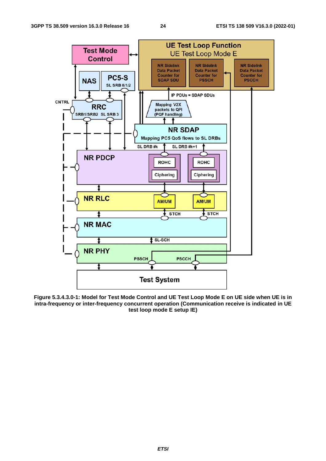

**Figure 5.3.4.3.0-1: Model for Test Mode Control and UE Test Loop Mode E on UE side when UE is in intra-frequency or inter-frequency concurrent operation (Communication receive is indicated in UE test loop mode E setup IE)**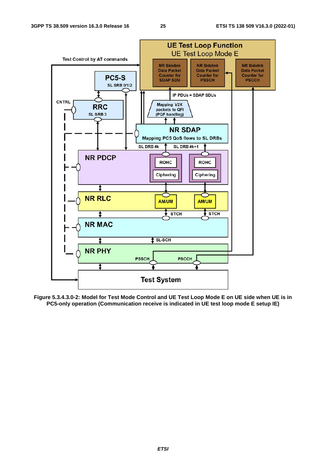

**Figure 5.3.4.3.0-2: Model for Test Mode Control and UE Test Loop Mode E on UE side when UE is in PC5-only operation (Communication receive is indicated in UE test loop mode E setup IE)** 

#### *ETSI*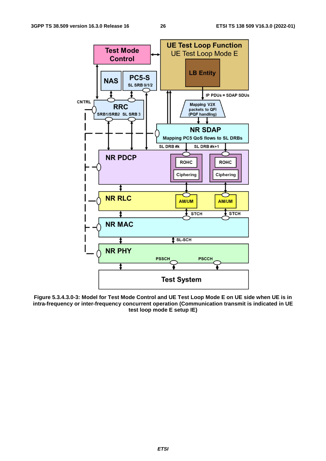

**Figure 5.3.4.3.0-3: Model for Test Mode Control and UE Test Loop Mode E on UE side when UE is in intra-frequency or inter-frequency concurrent operation (Communication transmit is indicated in UE test loop mode E setup IE)**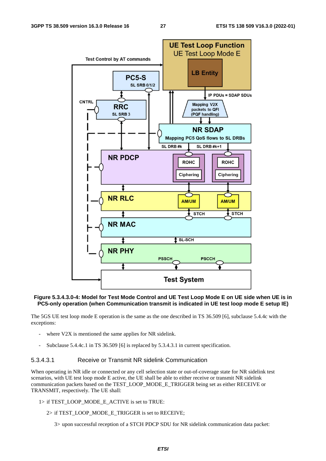

#### **Figure 5.3.4.3.0-4: Model for Test Mode Control and UE Test Loop Mode E on UE side when UE is in PC5-only operation (when Communication transmit is indicated in UE test loop mode E setup IE)**

The 5GS UE test loop mode E operation is the same as the one described in TS 36.509 [6], subclause 5.4.4c with the exceptions:

- where V2X is mentioned the same applies for NR sidelink.
- Subclause 5.4.4c.1 in TS 36.509 [6] is replaced by 5.3.4.3.1 in current specification.

#### 5.3.4.3.1 Receive or Transmit NR sidelink Communication

When operating in NR idle or connected or any cell selection state or out-of-coverage state for NR sidelink test scenarios, with UE test loop mode E active, the UE shall be able to either receive or transmit NR sidelink communication packets based on the TEST\_LOOP\_MODE\_E\_TRIGGER being set as either RECEIVE or TRANSMIT, respectively. The UE shall:

- 1> if TEST\_LOOP\_MODE\_E\_ACTIVE is set to TRUE:
	- 2> if TEST\_LOOP\_MODE\_E\_TRIGGER is set to RECEIVE;
		- 3> upon successful reception of a STCH PDCP SDU for NR sidelink communication data packet: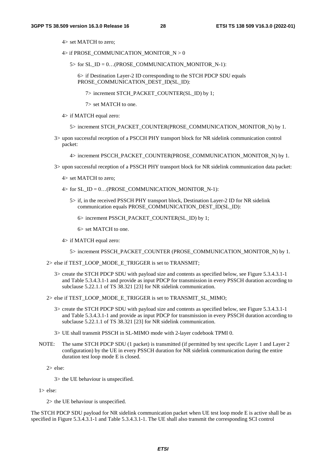- 4> set MATCH to zero;
- 4> if PROSE\_COMMUNICATION\_MONITOR\_N > 0

 $5>$  for SL\_ID = 0...(PROSE\_COMMUNICATION\_MONITOR\_N-1):

 6> if Destination Layer-2 ID corresponding to the STCH PDCP SDU equals PROSE\_COMMUNICATION\_DEST\_ID(SL\_ID):

7> increment STCH\_PACKET\_COUNTER(SL\_ID) by 1;

7> set MATCH to one.

4> if MATCH equal zero:

- 5> increment STCH\_PACKET\_COUNTER(PROSE\_COMMUNICATION\_MONITOR\_N) by 1.
- 3> upon successful reception of a PSCCH PHY transport block for NR sidelink communication control packet:

4> increment PSCCH\_PACKET\_COUNTER(PROSE\_COMMUNICATION\_MONITOR\_N) by 1.

- 3> upon successful reception of a PSSCH PHY transport block for NR sidelink communication data packet:
	- 4> set MATCH to zero;
	- $4>$  for SL\_ID = 0...(PROSE\_COMMUNICATION\_MONITOR\_N-1):
		- 5> if, in the received PSSCH PHY transport block, Destination Layer-2 ID for NR sidelink communication equals PROSE\_COMMUNICATION\_DEST\_ID(SL\_ID):

6> increment PSSCH\_PACKET\_COUNTER(SL\_ID) by 1;

6> set MATCH to one.

4> if MATCH equal zero:

5> increment PSSCH\_PACKET\_COUNTER (PROSE\_COMMUNICATION\_MONITOR\_N) by 1.

- 2> else if TEST\_LOOP\_MODE\_E\_TRIGGER is set to TRANSMIT;
	- 3> create the STCH PDCP SDU with payload size and contents as specified below, see Figure 5.3.4.3.1-1 and Table 5.3.4.3.1-1 and provide as input PDCP for transmission in every PSSCH duration according to subclause 5.22.1.1 of TS 38.321 [23] for NR sidelink communication.

2> else if TEST\_LOOP\_MODE\_E\_TRIGGER is set to TRANSMIT\_SL\_MIMO;

- 3> create the STCH PDCP SDU with payload size and contents as specified below, see Figure 5.3.4.3.1-1 and Table 5.3.4.3.1-1 and provide as input PDCP for transmission in every PSSCH duration according to subclause 5.22.1.1 of TS 38.321 [23] for NR sidelink communication.
- 3> UE shall transmit PSSCH in SL-MIMO mode with 2-layer codebook TPMI 0.
- NOTE: The same STCH PDCP SDU (1 packet) is transmitted (if permitted by test specific Layer 1 and Layer 2 configuration) by the UE in every PSSCH duration for NR sidelink communication during the entire duration test loop mode E is closed.

2> else:

3> the UE behaviour is unspecified.

1> else:

2> the UE behaviour is unspecified.

The STCH PDCP SDU payload for NR sidelink communication packet when UE test loop mode E is active shall be as specified in Figure 5.3.4.3.1-1 and Table 5.3.4.3.1-1. The UE shall also transmit the corresponding SCI control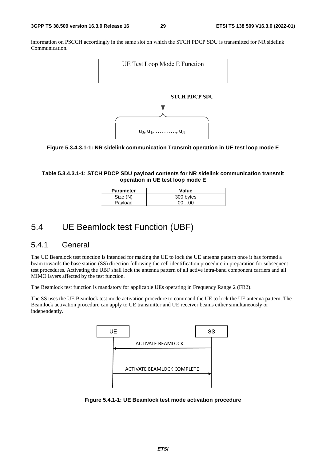information on PSCCH accordingly in the same slot on which the STCH PDCP SDU is transmitted for NR sidelink Communication.





**Table 5.3.4.3.1-1: STCH PDCP SDU payload contents for NR sidelink communication transmit operation in UE test loop mode E** 

| <b>Parameter</b> | Value     |
|------------------|-----------|
| Size (N)         | 300 bytes |
| Payload          | 00. 00    |

# 5.4 UE Beamlock test Function (UBF)

#### 5.4.1 General

The UE Beamlock test function is intended for making the UE to lock the UE antenna pattern once it has formed a beam towards the base station (SS) direction following the cell identification procedure in preparation for subsequent test procedures. Activating the UBF shall lock the antenna pattern of all active intra-band component carriers and all MIMO layers affected by the test function.

The Beamlock test function is mandatory for applicable UEs operating in Frequency Range 2 (FR2).

The SS uses the UE Beamlock test mode activation procedure to command the UE to lock the UE antenna pattern. The Beamlock activation procedure can apply to UE transmitter and UE receiver beams either simultaneously or independently.



**Figure 5.4.1-1: UE Beamlock test mode activation procedure**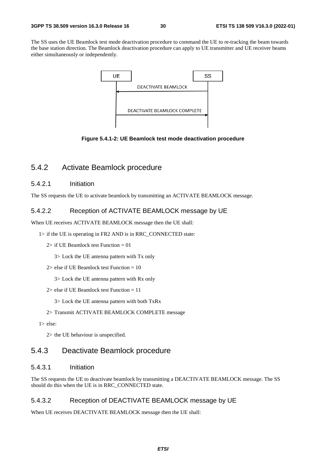The SS uses the UE Beamlock test mode deactivation procedure to command the UE to re-tracking the beam towards the base station direction. The Beamlock deactivation procedure can apply to UE transmitter and UE receiver beams either simultaneously or independently.



**Figure 5.4.1-2: UE Beamlock test mode deactivation procedure** 

#### 5.4.2 Activate Beamlock procedure

#### 5.4.2.1 Initiation

The SS requests the UE to activate beamlock by transmitting an ACTIVATE BEAMLOCK message.

#### 5.4.2.2 Reception of ACTIVATE BEAMLOCK message by UE

When UE receives ACTIVATE BEAMLOCK message then the UE shall:

1> if the UE is operating in FR2 AND is in RRC\_CONNECTED state:

2> if UE Beamlock test Function = 01

3> Lock the UE antenna pattern with Tx only

2> else if UE Beamlock test Function  $= 10$ 

3> Lock the UE antenna pattern with Rx only

2> else if UE Beamlock test Function = 11

3> Lock the UE antenna pattern with both TxRx

#### 2> Transmit ACTIVATE BEAMLOCK COMPLETE message

1> else:

2> the UE behaviour is unspecified.

### 5.4.3 Deactivate Beamlock procedure

#### 5.4.3.1 Initiation

The SS requests the UE to deactivate beamlock by transmitting a DEACTIVATE BEAMLOCK message. The SS should do this when the UE is in RRC\_CONNECTED state.

#### 5.4.3.2 Reception of DEACTIVATE BEAMLOCK message by UE

When UE receives DEACTIVATE BEAMLOCK message then the UE shall: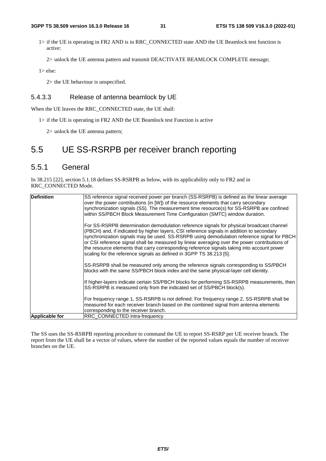1> if the UE is operating in FR2 AND is in RRC\_CONNECTED state AND the UE Beamlock test function is active:

2> unlock the UE antenna pattern and transmit DEACTIVATE BEAMLOCK COMPLETE message;

1> else:

2> the UE behaviour is unspecified.

#### 5.4.3.3 Release of antenna beamlock by UE

When the UE leaves the RRC\_CONNECTED state, the UE shall:

1> if the UE is operating in FR2 AND the UE Beamlock test Function is active

2> unlock the UE antenna pattern;

# 5.5 UE SS-RSRPB per receiver branch reporting

#### 5.5.1 General

In 38.215 [22], section 5.1.18 defines SS-RSRPB as below, with its applicability only to FR2 and in RRC\_CONNECTED Mode.

| <b>Definition</b> | SS reference signal received power per branch (SS-RSRPB) is defined as the linear average<br>over the power contributions (in [W]) of the resource elements that carry secondary<br>synchronization signals (SS). The measurement time resource(s) for SS-RSRPB are confined<br>within SS/PBCH Block Measurement Time Configuration (SMTC) window duration.                                                                                                                                                                                               |
|-------------------|-----------------------------------------------------------------------------------------------------------------------------------------------------------------------------------------------------------------------------------------------------------------------------------------------------------------------------------------------------------------------------------------------------------------------------------------------------------------------------------------------------------------------------------------------------------|
|                   | For SS-RSRPB determination demodulation reference signals for physical broadcast channel<br>(PBCH) and, if indicated by higher layers, CSI reference signals in addition to secondary<br>synchronization signals may be used. SS-RSRPB using demodulation reference signal for PBCH<br>or CSI reference signal shall be measured by linear averaging over the power contributions of<br>the resource elements that carry corresponding reference signals taking into account power<br>scaling for the reference signals as defined in 3GPP TS 38.213 [5]. |
|                   | SS-RSRPB shall be measured only among the reference signals corresponding to SS/PBCH<br>blocks with the same SS/PBCH block index and the same physical-layer cell identity.                                                                                                                                                                                                                                                                                                                                                                               |
|                   | If higher-layers indicate certain SS/PBCH blocks for performing SS-RSRPB measurements, then<br>SS-RSRPB is measured only from the indicated set of SS/PBCH block(s).                                                                                                                                                                                                                                                                                                                                                                                      |
|                   | For frequency range 1, SS-RSRPB is not defined. For frequency range 2, SS-RSRPB shall be<br>measured for each receiver branch based on the combined signal from antenna elements<br>corresponding to the receiver branch.                                                                                                                                                                                                                                                                                                                                 |
| Applicable for    | <b>RRC CONNECTED intra-frequency</b>                                                                                                                                                                                                                                                                                                                                                                                                                                                                                                                      |

The SS uses the SS-RSRPB reporting procedure to command the UE to report SS-RSRP per UE receiver branch. The report from the UE shall be a vector of values, where the number of the reported values equals the number of receiver branches on the UE.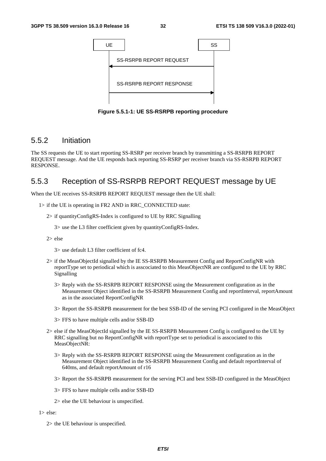

**Figure 5.5.1-1: UE SS-RSRPB reporting procedure** 

#### 5.5.2 Initiation

The SS requests the UE to start reporting SS-RSRP per receiver branch by transmitting a SS-RSRPB REPORT REQUEST message. And the UE responds back reporting SS-RSRP per receiver branch via SS-RSRPB REPORT RESPONSE.

### 5.5.3 Reception of SS-RSRPB REPORT REQUEST message by UE

When the UE receives SS-RSRPB REPORT REQUEST message then the UE shall:

- 1> if the UE is operating in FR2 AND in RRC\_CONNECTED state:
	- 2> if quantityConfigRS-Index is configured to UE by RRC Signalling
		- 3> use the L3 filter coefficient given by quantityConfigRS-Index.
	- 2> else

3> use default L3 filter coefficient of fc4.

- 2> if the MeasObjectId signalled by the IE SS-RSRPB Measurement Config and ReportConfigNR with reportType set to periodical which is asscociated to this MeasObjectNR are configured to the UE by RRC Signalling
	- 3> Reply with the SS-RSRPB REPORT RESPONSE using the Measurement configuration as in the Measurement Object identified in the SS-RSRPB Measurement Config and reportInterval, reportAmount as in the associated ReportConfigNR
	- 3> Report the SS-RSRPB measurement for the best SSB-ID of the serving PCI configured in the MeasObject
	- 3> FFS to have multiple cells and/or SSB-ID
- 2> else if the MeasObjectId signalled by the IE SS-RSRPB Measurement Config is configured to the UE by RRC signalling but no ReportConfigNR with reportType set to periodical is asscociated to this MeasObjectNR:
	- 3> Reply with the SS-RSRPB REPORT RESPONSE using the Measurement configuration as in the Measurement Object identified in the SS-RSRPB Measurement Config and default reportInterval of 640ms, and default reportAmount of r16
	- 3> Report the SS-RSRPB measurement for the serving PCI and best SSB-ID configured in the MeasObject
	- 3> FFS to have multiple cells and/or SSB-ID
	- 2> else the UE behaviour is unspecified.
- 1> else:
	- 2> the UE behaviour is unspecified.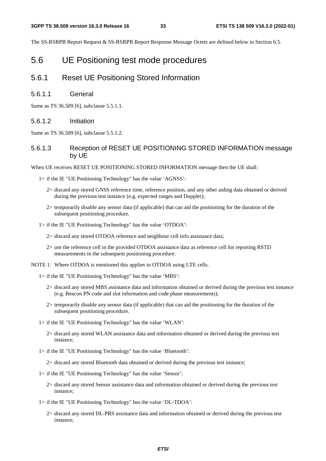The SS-RSRPB Report Request & SS-RSRPB Report Response Message Octets are defined below in Section 6.5.

### 5.6 UE Positioning test mode procedures

#### 5.6.1 Reset UE Positioning Stored Information

#### 5.6.1.1 General

Same as TS 36.509 [6], subclause 5.5.1.1.

#### 5.6.1.2 Initiation

Same as TS 36.509 [6], subclause 5.5.1.2.

#### 5.6.1.3 Reception of RESET UE POSITIONING STORED INFORMATION message by UE

When UE receives RESET UE POSITIONING STORED INFORMATION message then the UE shall:

- 1> if the IE "UE Positioning Technology" has the value 'AGNSS':
	- 2> discard any stored GNSS reference time, reference position, and any other aiding data obtained or derived during the previous test instance (e.g. expected ranges and Doppler);
	- 2> temporarily disable any sensor data (if applicable) that can aid the positioning for the duration of the subsequent positioning procedure.
- 1> if the IE "UE Positioning Technology" has the value 'OTDOA':
	- 2> discard any stored OTDOA reference and neighbour cell info assistance data;
	- 2> use the reference cell in the provided OTDOA assistance data as reference cell for reporting RSTD measurements in the subsequent positioning procedure.

NOTE 1: Where OTDOA is mentioned this applies to OTDOA using LTE cells.

- 1> if the IE "UE Positioning Technology" has the value 'MBS':
	- 2> discard any stored MBS assistance data and information obtained or derived during the previous test instance (e.g. Beacon PN code and slot information and code phase measurements);
	- 2> temporarily disable any sensor data (if applicable) that can aid the positioning for the duration of the subsequent positioning procedure.
- 1> if the IE "UE Positioning Technology" has the value 'WLAN':
	- 2> discard any stored WLAN assistance data and information obtained or derived during the previous test instance;
- 1> if the IE "UE Positioning Technology" has the value 'Bluetooth':

2> discard any stored Bluetooth data obtained or derived during the previous test instance;

- 1> if the IE "UE Positioning Technology" has the value 'Sensor':
	- 2> discard any stored Sensor assistance data and information obtained or derived during the previous test instance;
- 1> if the IE "UE Positioning Technology" has the value 'DL-TDOA':
	- 2> discard any stored DL-PRS assistance data and information obtained or derived during the previous test instance;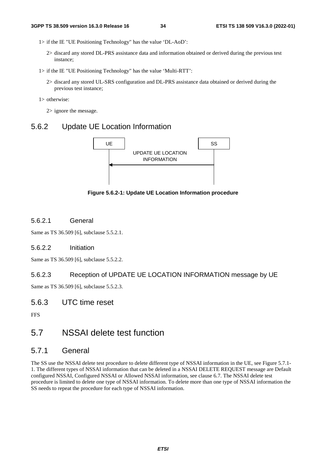1> if the IE "UE Positioning Technology" has the value 'DL-AoD':

- 2> discard any stored DL-PRS assistance data and information obtained or derived during the previous test instance;
- 1> if the IE "UE Positioning Technology" has the value 'Multi-RTT':
	- 2> discard any stored UL-SRS configuration and DL-PRS assistance data obtained or derived during the previous test instance;

1> otherwise:

2> ignore the message.

#### 5.6.2 Update UE Location Information



**Figure 5.6.2-1: Update UE Location Information procedure** 

#### 5.6.2.1 General

Same as TS 36.509 [6], subclause 5.5.2.1.

#### 5.6.2.2 Initiation

Same as TS 36.509 [6], subclause 5.5.2.2.

#### 5.6.2.3 Reception of UPDATE UE LOCATION INFORMATION message by UE

Same as TS 36.509 [6], subclause 5.5.2.3.

#### 5.6.3 UTC time reset

**FFS** 

### 5.7 NSSAI delete test function

#### 5.7.1 General

The SS use the NSSAI delete test procedure to delete different type of NSSAI information in the UE, see Figure 5.7.1- 1. The different types of NSSAI information that can be deleted in a NSSAI DELETE REQUEST message are Default configured NSSAI, Configured NSSAI or Allowed NSSAI information, see clause 6.7. The NSSAI delete test procedure is limited to delete one type of NSSAI information. To delete more than one type of NSSAI information the SS needs to repeat the procedure for each type of NSSAI information.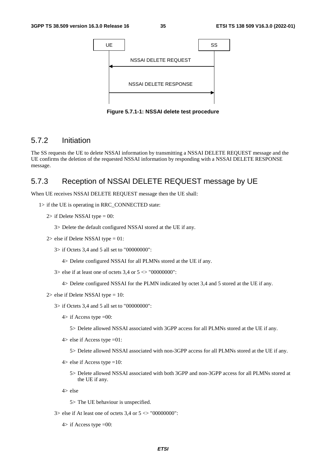

**Figure 5.7.1-1: NSSAI delete test procedure** 

#### 5.7.2 Initiation

The SS requests the UE to delete NSSAI information by transmitting a NSSAI DELETE REQUEST message and the UE confirms the deletion of the requested NSSAI information by responding with a NSSAI DELETE RESPONSE message.

### 5.7.3 Reception of NSSAI DELETE REQUEST message by UE

When UE receives NSSAI DELETE REQUEST message then the UE shall:

```
1> if the UE is operating in RRC_CONNECTED state:
```
- $2$ > if Delete NSSAI type = 00:
	- 3> Delete the default configured NSSAI stored at the UE if any.
- $2$  else if Delete NSSAI type = 01:
	- 3> if Octets 3,4 and 5 all set to "00000000":
		- 4> Delete configured NSSAI for all PLMNs stored at the UE if any.
	- $3$  else if at least one of octets 3,4 or  $5 \leq$  "00000000":
		- 4> Delete configured NSSAI for the PLMN indicated by octet 3,4 and 5 stored at the UE if any.
- $2$  else if Delete NSSAI type = 10:
	- 3> if Octets 3,4 and 5 all set to "00000000":
		- $4$  if Access type = 00:
			- 5> Delete allowed NSSAI associated with 3GPP access for all PLMNs stored at the UE if any.
		- $4$  else if Access type = 01:
			- 5> Delete allowed NSSAI associated with non-3GPP access for all PLMNs stored at the UE if any.
		- $4$  else if Access type = 10:
			- 5> Delete allowed NSSAI associated with both 3GPP and non-3GPP access for all PLMNs stored at the UE if any.

4> else

- 5> The UE behaviour is unspecified.
- $3$  else if At least one of octets 3,4 or  $5 \le$  "00000000":
	- $4$  if Access type  $=00$ :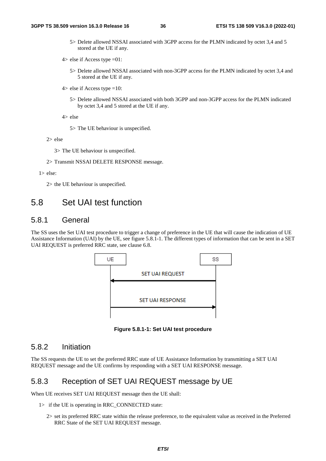5> Delete allowed NSSAI associated with 3GPP access for the PLMN indicated by octet 3,4 and 5 stored at the UE if any.

 $4$  else if Access type = 01:

- 5> Delete allowed NSSAI associated with non-3GPP access for the PLMN indicated by octet 3,4 and 5 stored at the UE if any.
- $4$  else if Access type = 10:
	- 5> Delete allowed NSSAI associated with both 3GPP and non-3GPP access for the PLMN indicated by octet 3,4 and 5 stored at the UE if any.

4> else

5> The UE behaviour is unspecified.

2> else

3> The UE behaviour is unspecified.

2> Transmit NSSAI DELETE RESPONSE message.

1> else:

2> the UE behaviour is unspecified.

# 5.8 Set UAI test function

#### 5.8.1 General

The SS uses the Set UAI test procedure to trigger a change of preference in the UE that will cause the indication of UE Assistance Information (UAI) by the UE, see figure 5.8.1-1. The different types of information that can be sent in a SET UAI REQUEST is preferred RRC state, see clause 6.8.



**Figure 5.8.1-1: Set UAI test procedure** 

### 5.8.2 Initiation

The SS requests the UE to set the preferred RRC state of UE Assistance Information by transmitting a SET UAI REQUEST message and the UE confirms by responding with a SET UAI RESPONSE message.

#### 5.8.3 Reception of SET UAI REQUEST message by UE

When UE receives SET UAI REQUEST message then the UE shall:

- 1> if the UE is operating in RRC\_CONNECTED state:
	- 2> set its preferred RRC state within the release preference, to the equivalent value as received in the Preferred RRC State of the SET UAI REQUEST message.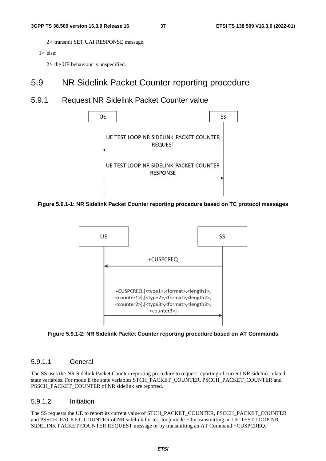2> transmit SET UAI RESPONSE message.

 $1$  else:

2> the UE behaviour is unspecified.

### 5.9 NR Sidelink Packet Counter reporting procedure

### 5.9.1 Request NR Sidelink Packet Counter value



**Figure 5.9.1-1: NR Sidelink Packet Counter reporting procedure based on TC protocol messages** 





#### 5.9.1.1 General

The SS uses the NR Sidelink Packet Counter reporting procedure to request reporting of current NR sidelink related state variables. For mode E the state variables STCH\_PACKET\_COUNTER, PSCCH\_PACKET\_COUNTER and PSSCH\_PACKET\_COUNTER of NR sidelink are reported.

#### 5.9.1.2 Initiation

The SS requests the UE to report its current value of STCH\_PACKET\_COUNTER, PSCCH\_PACKET\_COUNTER and PSSCH\_PACKET\_COUNTER of NR sidelink for test loop mode E by transmitting an UE TEST LOOP NR SIDELINK PACKET COUNTER REQUEST message or by transmitting an AT Command +CUSPCREQ.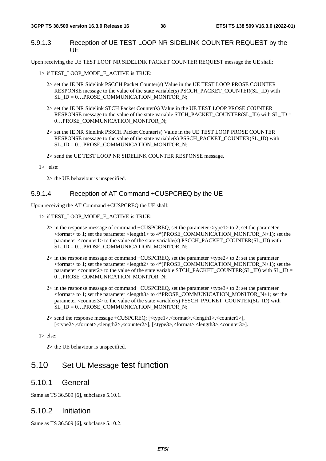#### 5.9.1.3 Reception of UE TEST LOOP NR SIDELINK COUNTER REQUEST by the UE

Upon receiving the UE TEST LOOP NR SIDELINK PACKET COUNTER REQUEST message the UE shall:

- 1> if TEST\_LOOP\_MODE\_E\_ACTIVE is TRUE:
	- 2> set the IE NR Sidelink PSCCH Packet Counter(s) Value in the UE TEST LOOP PROSE COUNTER RESPONSE message to the value of the state variable(s) PSCCH\_PACKET\_COUNTER(SL\_ID) with SL\_ID = 0…PROSE\_COMMUNICATION\_MONITOR\_N;
	- 2> set the IE NR Sidelink STCH Packet Counter(s) Value in the UE TEST LOOP PROSE COUNTER RESPONSE message to the value of the state variable STCH\_PACKET\_COUNTER(SL\_ID) with SL\_ID = 0…PROSE\_COMMUNICATION\_MONITOR\_N;
	- 2> set the IE NR Sidelink PSSCH Packet Counter(s) Value in the UE TEST LOOP PROSE COUNTER RESPONSE message to the value of the state variable(s) PSSCH\_PACKET\_COUNTER(SL\_ID) with SL\_ID = 0…PROSE\_COMMUNICATION\_MONITOR\_N;

2> send the UE TEST LOOP NR SIDELINK COUNTER RESPONSE message.

1> else:

2> the UE behaviour is unspecified.

#### 5.9.1.4 Reception of AT Command +CUSPCREQ by the UE

Upon receiving the AT Command +CUSPCREQ the UE shall:

- 1> if TEST\_LOOP\_MODE\_E\_ACTIVE is TRUE:
	- 2> in the response message of command +CUSPCREQ, set the parameter <type1> to 2; set the parameter  $\epsilon$  -format> to 1; set the parameter <length1> to 4\*(PROSE\_COMMUNICATION\_MONITOR\_N+1); set the parameter <counter1> to the value of the state variable(s) PSCCH\_PACKET\_COUNTER(SL\_ID) with SL  $ID = 0...PROSE$  COMMUNICATION MONITOR N;
	- 2> in the response message of command +CUSPCREQ, set the parameter <type2> to 2; set the parameter  $\epsilon$  -format> to 1; set the parameter <length2> to 4\*(PROSE\_COMMUNICATION\_MONITOR\_N+1); set the parameter <counter2> to the value of the state variable STCH\_PACKET\_COUNTER(SL\_ID) with SL\_ID = 0...PROSE\_COMMUNICATION\_MONITOR\_N;
	- 2> in the response message of command +CUSPCREQ, set the parameter <type3> to 2; set the parameter  $\epsilon$  =  $\epsilon$  to 1; set the parameter  $\epsilon$  length3> to 4\*PROSE\_COMMUNICATION\_MONITOR\_N+1; set the parameter <counter3> to the value of the state variable(s) PSSCH\_PACKET\_COUNTER(SL\_ID) with SL\_ID = 0…PROSE\_COMMUNICATION\_MONITOR\_N;
	- 2> send the response message +CUSPCREQ: [<type1>,<format>,<length1>,<counter1>], [<type2>,<format>,<length2>,<counter2>], [<type3>,<format>,<length3>,<counter3>].

#### 1> else:

2> the UE behaviour is unspecified.

# 5.10 Set UL Message test function

#### 5.10.1 General

Same as TS 36.509 [6], subclause 5.10.1.

#### 5.10.2 Initiation

Same as TS 36.509 [6], subclause 5.10.2.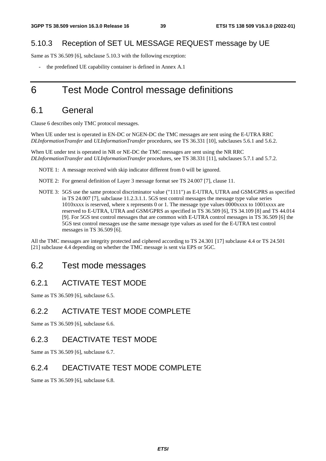### 5.10.3 Reception of SET UL MESSAGE REQUEST message by UE

Same as TS 36.509 [6], subclause 5.10.3 with the following exception:

the predefined UE capability container is defined in Annex A.1

# 6 Test Mode Control message definitions

### 6.1 General

Clause 6 describes only TMC protocol messages.

When UE under test is operated in EN-DC or NGEN-DC the TMC messages are sent using the E-UTRA RRC *DLInformationTransfer* and *ULInformationTransfer* procedures, see TS 36.331 [10], subclauses 5.6.1 and 5.6.2.

When UE under test is operated in NR or NE-DC the TMC messages are sent using the NR RRC *DLInformationTransfer* and *ULInformationTransfer* procedures, see TS 38.331 [11], subclauses 5.7.1 and 5.7.2.

- NOTE 1: A message received with skip indicator different from 0 will be ignored.
- NOTE 2: For general definition of Layer 3 message format see TS 24.007 [7], clause 11.
- NOTE 3: 5GS use the same protocol discriminator value ("1111") as E-UTRA, UTRA and GSM/GPRS as specified in TS 24.007 [7], subclause 11.2.3.1.1. 5GS test control messages the message type value series 1010xxxx is reserved, where x represents 0 or 1. The message type values 0000xxxx to 1001xxxx are reserved to E-UTRA, UTRA and GSM/GPRS as specified in TS 36.509 [6], TS 34.109 [8] and TS 44.014 [9]. For 5GS test control messages that are common with E-UTRA control messages in TS 36.509 [6] the 5GS test control messages use the same message type values as used for the E-UTRA test control messages in TS 36.509 [6].

All the TMC messages are integrity protected and ciphered according to TS 24.301 [17] subclause 4.4 or TS 24.501 [21] subclause 4.4 depending on whether the TMC message is sent via EPS or 5GC.

### 6.2 Test mode messages

#### 6.2.1 ACTIVATE TEST MODE

Same as TS 36.509 [6], subclause 6.5.

### 6.2.2 ACTIVATE TEST MODE COMPLETE

Same as TS 36.509 [6], subclause 6.6.

### 6.2.3 DEACTIVATE TEST MODE

Same as TS 36.509 [6], subclause 6.7.

### 6.2.4 DEACTIVATE TEST MODE COMPLETE

Same as TS 36.509 [6], subclause 6.8.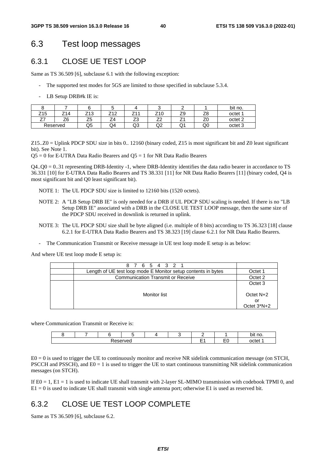## 6.3 Test loop messages

### 6.3.1 CLOSE UE TEST LOOP

Same as TS 36.509 [6], subclause 6.1 with the following exception:

- The supported test modes for 5GS are limited to those specified in subclause 5.3.4.
- LB Setup DRB#k IE is:

|     |          |                      |        |            |                          |          |           | bit no.            |
|-----|----------|----------------------|--------|------------|--------------------------|----------|-----------|--------------------|
| Z15 | Z14      | ラィヘ<br>ں<br><u>.</u> | 740    | 744<br>- 1 | Z10                      | 7с<br>້  | 70<br>zö  | octet <sup>1</sup> |
| --  | Z6       | --<br>$\sim$<br>ںے   | -<br>4 | ⇁<br>ںے    | $\overline{\phantom{a}}$ | <u>.</u> | – ~<br>∠∪ | octet 2            |
|     | Reserved | Q5                   | Q4     | Q3         | ◡                        | w.       | Q0        | octet 3            |

Z15..Z0 = Uplink PDCP SDU size in bits 0.. 12160 (binary coded, Z15 is most significant bit and Z0 least significant bit). See Note 1.

 $Q5 = 0$  for E-UTRA Data Radio Bearers and  $Q5 = 1$  for NR Data Radio Bearers

Q4..Q0 = 0..31 representing DRB-Identity -1, where DRB-Identity identifies the data radio bearer in accordance to TS 36.331 [10] for E-UTRA Data Radio Bearers and TS 38.331 [11] for NR Data Radio Bearers [11] (binary coded, Q4 is most significant bit and Q0 least significant bit).

- NOTE 1: The UL PDCP SDU size is limited to 12160 bits (1520 octets).
- NOTE 2: A "LB Setup DRB IE" is only needed for a DRB if UL PDCP SDU scaling is needed. If there is no "LB Setup DRB IE" associated with a DRB in the CLOSE UE TEST LOOP message, then the same size of the PDCP SDU received in downlink is returned in uplink.
- NOTE 3: The UL PDCP SDU size shall be byte aligned (i.e. multiple of 8 bits) according to TS 36.323 [18] clause 6.2.1 for E-UTRA Data Radio Bearers and TS 38.323 [19] clause 6.2.1 for NR Data Radio Bearers.
- The Communication Transmit or Receive message in UE test loop mode E setup is as below:

And where UE test loop mode E setup is:

| 8 7 6 5 4 3 2 1                                               |                                              |
|---------------------------------------------------------------|----------------------------------------------|
| Length of UE test loop mode E Monitor setup contents in bytes | Octet 1                                      |
| <b>Communication Transmit or Receive</b>                      | Octet 2                                      |
| Monitor list                                                  | Octet 3<br>Octet N+2<br>or<br>Octet $3^*N+2$ |

where Communication Transmit or Receive is:

|                 |  |  |  |  |  |  |               | no.<br>hıt   |
|-----------------|--|--|--|--|--|--|---------------|--------------|
| served<br>19991 |  |  |  |  |  |  | - -<br>─<br>∽ | octet<br>ιeι |

 $E0 = 0$  is used to trigger the UE to continuously monitor and receive NR sidelink communication message (on STCH, PSCCH and PSSCH), and  $E0 = 1$  is used to trigger the UE to start continuous transmitting NR sidelink communication messages (on STCH).

If E0 = 1, E1 = 1 is used to indicate UE shall transmit with 2-layer SL-MIMO transmission with codebook TPMI 0, and E1 = 0 is used to indicate UE shall transmit with single antenna port; otherwise E1 is used as reserved bit.

### 6.3.2 CLOSE UE TEST LOOP COMPLETE

Same as TS 36.509 [6], subclause 6.2.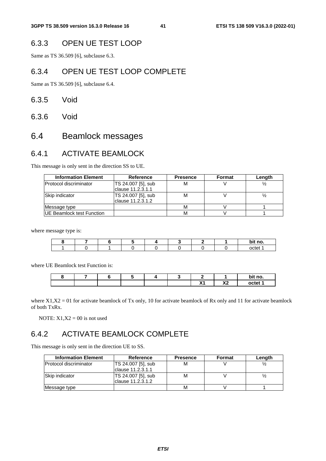### 6.3.3 OPEN UE TEST LOOP

Same as TS 36.509 [6], subclause 6.3.

#### 6.3.4 OPEN UE TEST LOOP COMPLETE

Same as TS 36.509 [6], subclause 6.4.

- 6.3.5 Void
- 6.3.6 Void

# 6.4 Beamlock messages

### 6.4.1 ACTIVATE BEAMLOCK

This message is only sent in the direction SS to UE.

| <b>Information Element</b>        | <b>Reference</b>   | <b>Presence</b> | Format | Length |
|-----------------------------------|--------------------|-----------------|--------|--------|
| Protocol discriminator            | TS 24.007 [5], sub | M               |        |        |
|                                   | clause 11.2.3.1.1  |                 |        |        |
| Skip indicator                    | TS 24.007 [5], sub | М               |        |        |
|                                   | lclause 11.2.3.1.2 |                 |        |        |
| Message type                      |                    | М               |        |        |
| <b>IUE Beamlock test Function</b> |                    | М               |        |        |

where message type is:

|  |  |  |  | bit no. |
|--|--|--|--|---------|
|  |  |  |  | octet   |

where UE Beamlock test Function is:

|  |  |  |                    |                    | bit no. |
|--|--|--|--------------------|--------------------|---------|
|  |  |  | V4<br>$\mathbf{A}$ | $\mathbf{v}$<br>^^ | octet ' |

where  $X1, X2 = 01$  for activate beamlock of Tx only, 10 for activate beamlock of Rx only and 11 for activate beamlock of both TxRx.

NOTE:  $X1.X2 = 00$  is not used

## 6.4.2 ACTIVATE BEAMLOCK COMPLETE

This message is only sent in the direction UE to SS.

| <b>Information Element</b>     | <b>Reference</b>                         | <b>Presence</b> | Format | Length |
|--------------------------------|------------------------------------------|-----------------|--------|--------|
| <b>IProtocol discriminator</b> | TS 24.007 [5], sub<br>clause 11.2.3.1.1  | M               |        |        |
| <b>Skip indicator</b>          | TS 24.007 [5], sub<br>Iclause 11.2.3.1.2 | М               |        |        |
| Message type                   |                                          | м               |        |        |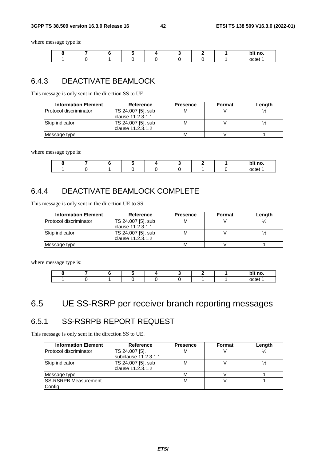#### **3GPP TS 38.509 version 16.3.0 Release 16 42 ETSI TS 138 509 V16.3.0 (2022-01)**

where message type is:

|  |  |  |  | bit no. |
|--|--|--|--|---------|
|  |  |  |  | tمtم    |

### 6.4.3 DEACTIVATE BEAMLOCK

This message is only sent in the direction SS to UE.

| <b>Information Element</b> | Reference                                      | <b>Presence</b> | <b>Format</b> | Length |
|----------------------------|------------------------------------------------|-----------------|---------------|--------|
| Protocol discriminator     | TS 24.007 [5], sub<br>M                        |                 |               |        |
|                            | Iclause 11.2.3.1.1                             |                 |               |        |
| Skip indicator             | <b>TS 24.007 [5], sub</b><br>clause 11.2.3.1.2 | М               |               |        |
| Message type               |                                                | M               |               |        |

where message type is:

|  |  |  |  | bit no. |
|--|--|--|--|---------|
|  |  |  |  | octet   |

## 6.4.4 DEACTIVATE BEAMLOCK COMPLETE

This message is only sent in the direction UE to SS.

| <b>Information Element</b>    | Reference                                | <b>Presence</b> | Format | Length |
|-------------------------------|------------------------------------------|-----------------|--------|--------|
| <b>Protocol discriminator</b> | TS 24.007 [5], sub<br>Iclause 11.2.3.1.1 | М               |        |        |
| <b>Skip indicator</b>         | TS 24.007 [5], sub<br>Iclause 11.2.3.1.2 | м               |        |        |
| Message type                  |                                          | М               |        |        |

where message type is:

|  |  |  |  | bit no. |
|--|--|--|--|---------|
|  |  |  |  |         |

# 6.5 UE SS-RSRP per receiver branch reporting messages

# 6.5.1 SS-RSRPB REPORT REQUEST

This message is only sent in the direction SS to UE.

| <b>Information Element</b>    | Reference            | <b>Presence</b> | <b>Format</b> | Length |
|-------------------------------|----------------------|-----------------|---------------|--------|
| <b>Protocol discriminator</b> | TS 24.007 [5],       | M               |               |        |
|                               | subclause 11.2.3.1.1 |                 |               |        |
| Skip indicator                | TS 24.007 [5], sub   | М               |               |        |
|                               | clause 11.2.3.1.2    |                 |               |        |
| Message type                  |                      | М               |               |        |
| <b>SS-RSRPB Measurement</b>   |                      | М               |               |        |
| Config                        |                      |                 |               |        |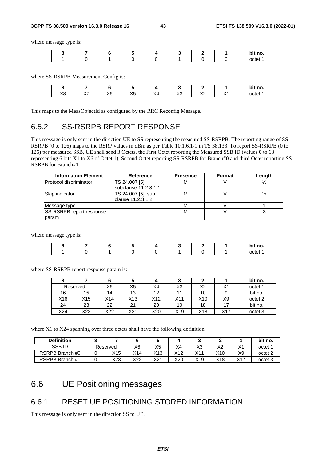#### **3GPP TS 38.509 version 16.3.0 Release 16 43 ETSI TS 138 509 V16.3.0 (2022-01)**

where message type is:

|  |  |  |  | no.   |
|--|--|--|--|-------|
|  |  |  |  | h∩tet |

where SS-RSRPB Measurement Config is:

|          |                 |                  |                              |                                 |            |                         | no.<br>bit |
|----------|-----------------|------------------|------------------------------|---------------------------------|------------|-------------------------|------------|
| vo<br>ЛC | $\sqrt{7}$<br>. | $\vee$<br>$\sim$ | $\mathsf{v}\mathsf{r}$<br>Λυ | $\overline{\phantom{a}}$<br>`\\ | $\sqrt{2}$ | $\lambda$ .<br>. .<br>. | octet 1    |

This maps to the MeasObjectId as configured by the RRC Reconfig Message.

### 6.5.2 SS-RSRPB REPORT RESPONSE

This message is only sent in the direction UE to SS representing the measured SS-RSRPB. The reporting range of SS-RSRPB (0 to 126) maps to the RSRP values in dBm as per Table 10.1.6.1-1 in TS 38.133. To report SS-RSRPB (0 to 126) per measured SSB, UE shall send 3 Octets, the First Octet reporting the Measured SSB ID (values 0 to 63 representing 6 bits X1 to X6 of Octet 1), Second Octet reporting SS-RSRPB for Branch#0 and third Octet reporting SS-RSRPB for Branch#1.

| <b>Information Element</b>      | Reference            | <b>Presence</b> | <b>Format</b> | Length |
|---------------------------------|----------------------|-----------------|---------------|--------|
| <b>Protocol discriminator</b>   | TS 24.007 [5],       | М               |               |        |
|                                 | subclause 11.2.3.1.1 |                 |               |        |
| Skip indicator                  | TS 24.007 [5], sub   | М               |               |        |
|                                 | lclause 11.2.3.1.2   |                 |               |        |
| Message type                    |                      | м               |               |        |
| <b>SS-RSRPB report response</b> |                      | М               |               |        |
| param                           |                      |                 |               |        |

where message type is:

|  |  |  |  | '* no.<br>יוח<br>. |
|--|--|--|--|--------------------|
|  |  |  |  | ∩rt⊆<br>τρτ        |

where SS-RSRPB report response param is:

|     |          |     |     |     |     |     |                | bit no.            |
|-----|----------|-----|-----|-----|-----|-----|----------------|--------------------|
|     | Reserved | X6  | X5  | Х4  | X3  | X2  | X <sup>1</sup> | octet 1            |
| 16  | 15       | 14  | 13  | 12  |     | 10  |                | bit no.            |
| X16 | X15      | X14 | X13 | X12 | X11 | X10 | X9             | octet <sub>2</sub> |
| 24  | 23       | 22  | 21  | 20  | 19  | 18  |                | bit no.            |
| X24 | X23      | X22 | X21 | X20 | X19 | X18 | X17            | octet 3            |

where X1 to X24 spanning over three octets shall have the following definition:

| <b>Definition</b> |          |     |     |     |        |     |              | bit no.            |
|-------------------|----------|-----|-----|-----|--------|-----|--------------|--------------------|
| <b>SSBID</b>      | Reserved | X6  | X5  | X4  | XЗ     | Х2  | $\checkmark$ | octet '            |
| RSRPB Branch #0   | X15      | X14 | X13 | X12 | $Y$ 11 | X10 | X9           | octet <sub>2</sub> |
| RSRPB Branch #1   | X23      | X22 | X21 | X20 | X19    | X18 | V17          | octet <sub>3</sub> |

# 6.6 UE Positioning messages

### 6.6.1 RESET UE POSITIONING STORED INFORMATION

This message is only sent in the direction SS to UE.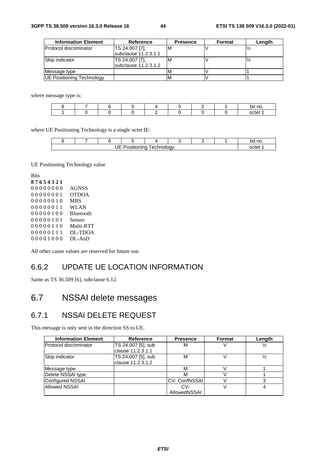| <b>Information Element</b> | Reference                    | <b>Presence</b> | Format | Length |
|----------------------------|------------------------------|-----------------|--------|--------|
| Protocol discriminator     | TS 24.007 [7],               | ıΜ              |        |        |
|                            | <b>Isubclause 11.2.3.1.1</b> |                 |        |        |
| Skip indicator             | TS 24.007 [7],               | ıΜ              |        |        |
|                            | subclause 11.2.3.1.2         |                 |        |        |
| Message type               |                              |                 |        |        |
| UE Positioning Technology  |                              |                 |        |        |

where message type is:

|  |  |  |  | bit no |
|--|--|--|--|--------|
|  |  |  |  | nctet  |

where UE Positioning Technology is a single octet IE:

|                                        |  |  |  |  |  |  | no.<br>∩ıt |
|----------------------------------------|--|--|--|--|--|--|------------|
| IЕ<br>ehnoloav:<br>. .<br>.echnc<br>້. |  |  |  |  |  |  |            |

UE Positioning Technology value

All other cause values are reserved for future use.

### 6.6.2 UPDATE UE LOCATION INFORMATION

Same as TS 36.509 [6], subclause 6.12.

# 6.7 NSSAI delete messages

### 6.7.1 NSSAI DELETE REQUEST

This message is only sent in the direction SS to UE.

| <b>Information Element</b>    | Reference          | <b>Presence</b>      | <b>Format</b> | Length        |
|-------------------------------|--------------------|----------------------|---------------|---------------|
| <b>Protocol discriminator</b> | TS 24.007 [5], sub | M                    |               | ⅓             |
|                               | clause 11.2.3.1.1  |                      |               |               |
| Skip indicator                | TS 24.007 [5], sub | M                    |               | $\frac{1}{2}$ |
|                               | clause 11.2.3.1.2  |                      |               |               |
| Message type                  |                    | M                    |               |               |
| Delete NSSAI type             |                    | м                    |               |               |
| Configured NSSAI              |                    | <b>CV- ConfNSSAI</b> |               |               |
| <b>Allowed NSSAI</b>          |                    | CV-                  |               |               |
|                               |                    | AllowedNSSAI         |               |               |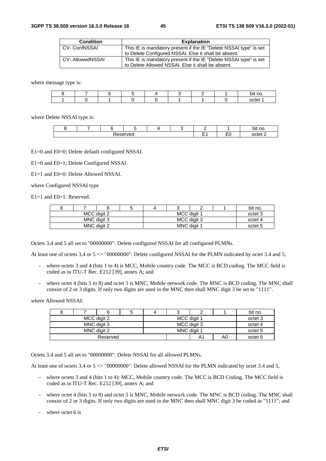| <b>Condition</b>    | <b>Explanation</b>                                                |
|---------------------|-------------------------------------------------------------------|
| <b>CV-ConfNSSAI</b> | This IE is mandatory present if the IE "Delete NSSAI type" is set |
|                     | to Delete Configured NSSAI. Else it shall be absent.              |
| CV- AllowedNSSAI    | This IE is mandatory present if the IE "Delete NSSAI type" is set |
|                     | to Delete Allowed NSSAI. Else it shall be absent.                 |

where message type is:

|  |  |  |  | bit no. |
|--|--|--|--|---------|
|  |  |  |  | nctet   |

where Delete NSSAI type is:

|               |  |  |  |  |  |  |                               | * no.<br>bit       |
|---------------|--|--|--|--|--|--|-------------------------------|--------------------|
| `serveo<br>0e |  |  |  |  |  |  | $\overline{\phantom{a}}$<br>∽ | octet <sup>o</sup> |

E1=0 and E0=0; Delete default configured NSSAI.

E1=0 and E0=1; Delete Configured NSSAI.

E1=1 and E0=0: Delete Allowed NSSAI.

where Configured NSSAI type

E<sub>1</sub>=1 and E<sub>0</sub>=1: Reserved.

|                            |             |  |  |             |  |         | bit no. |  |
|----------------------------|-------------|--|--|-------------|--|---------|---------|--|
|                            | MCC digit 2 |  |  | MCC digit 1 |  | octet 3 |         |  |
|                            | MNC digit 3 |  |  | MCC digit 3 |  | octet 4 |         |  |
| MNC digit 1<br>MNC digit 2 |             |  |  |             |  |         |         |  |

Octets 3,4 and 5 all set to "00000000": Delete configured NSSAI for all configured PLMNs.

At least one of octets 3,4 or  $5 \ll$  "00000000": Delete configured NSSAI for the PLMN indicated by octet 3.4 and 5,

- where octets 3 and 4 (bits 1 to 4) is MCC, Mobile country code. The MCC is BCD coding. The MCC field is coded as in ITU-T Rec. E212 [39], annex A; and
- where octet 4 (bits 5 to 8) and octet 5 is MNC, Mobile network code. The MNC is BCD coding. The MNC shall consist of 2 or 3 digits. If only two digits are used in the MNC then shall MNC digit 3 be set to "1111".

where Allowed NSSAI:

|  |             |  | ື           |    |         | bit no. |
|--|-------------|--|-------------|----|---------|---------|
|  | MCC digit 2 |  | MCC digit 1 |    | octet 3 |         |
|  | MNC digit 3 |  | MCC digit 3 |    | octet 4 |         |
|  | MNC digit 2 |  | MNC digit 1 |    | octet 5 |         |
|  | Reserved    |  |             | A1 | A0      | octet 6 |

Octets 3,4 and 5 all set to "00000000": Delete NSSAI for all allowed PLMNs.

At least one of octets 3,4 or  $5 \ll 200000000$ ": Delete allowed NSSAI for the PLMN indicated by octet 3.4 and 5,

- where octets 3 and 4 (bits 1 to 4): MCC, Mobile country code. The MCC is BCD Coding. The MCC field is coded as in ITU-T Rec. E212 [39], annex A; and
- where octet 4 (bits 5 to 8) and octet 5 is MNC, Mobile network code. The MNC is BCD coding. The MNC shall consist of 2 or 3 digits. If only two digits are used in the MNC then shall MNC digit 3 be coded as "1111"; and
- where octet 6 is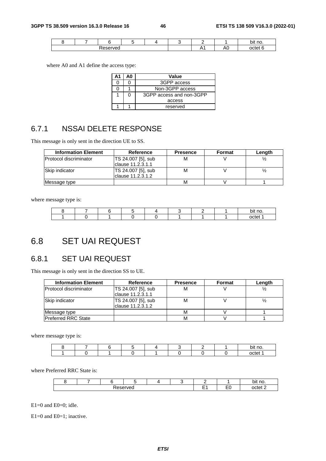|  |          |  |   |    |       | bit no |
|--|----------|--|---|----|-------|--------|
|  | 'eserved |  | Л | ٦U | nctet |        |

where A0 and A1 define the access type:

| А1 | ΔN | Value                    |  |  |  |  |
|----|----|--------------------------|--|--|--|--|
|    |    | 3GPP access              |  |  |  |  |
|    |    | Non-3GPP access          |  |  |  |  |
|    |    | 3GPP access and non-3GPP |  |  |  |  |
|    |    | access                   |  |  |  |  |
|    |    | reserved                 |  |  |  |  |

### 6.7.1 NSSAI DELETE RESPONSE

This message is only sent in the direction UE to SS.

| <b>Information Element</b>    | Reference                                | <b>Presence</b> | Format | Length |
|-------------------------------|------------------------------------------|-----------------|--------|--------|
| <b>Protocol discriminator</b> | TS 24.007 [5], sub<br>clause 11.2.3.1.1  | М               |        |        |
| Skip indicator                | TS 24.007 [5], sub<br>Iclause 11.2.3.1.2 | м               |        |        |
| Message type                  |                                          | М               |        |        |

where message type is:

|  |  |  |  | . .<br>bit no. |
|--|--|--|--|----------------|
|  |  |  |  | octet          |

# 6.8 SET UAI REQUEST

# 6.8.1 SET UAI REQUEST

This message is only sent in the direction SS to UE.

| <b>Information Element</b> | <b>Reference</b>                         | <b>Presence</b> | Format | Length |
|----------------------------|------------------------------------------|-----------------|--------|--------|
| Protocol discriminator     | TS 24.007 [5], sub<br>lclause 11.2.3.1.1 | м               |        |        |
| Skip indicator             | TS 24.007 [5], sub<br>clause 11.2.3.1.2  | М               |        |        |
| Message type               |                                          | М               |        |        |
| <b>Preferred RRC State</b> |                                          | м               |        |        |

where message type is:

|  |  |  |  | .<br>bit<br>no. |
|--|--|--|--|-----------------|
|  |  |  |  | $\sim$<br>--    |

where Preferred RRC State is:

|          |  |  |  |  |  |     |         | bit no.       |
|----------|--|--|--|--|--|-----|---------|---------------|
| eserved? |  |  |  |  |  | $-$ | $ \sim$ | c<br>_າctet ∠ |

 $E1=0$  and  $E0=0$ ; idle.

E1=0 and E0=1; inactive.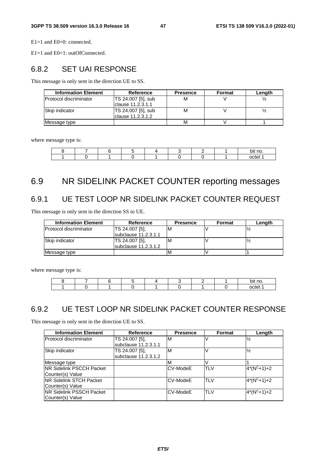E1=1 and E0=0: connected.

E1=1 and E0=1: outOfConnected.

### 6.8.2 SET UAI RESPONSE

This message is only sent in the direction UE to SS.

| <b>Information Element</b>    | Reference          | <b>Presence</b> | Format | Length |
|-------------------------------|--------------------|-----------------|--------|--------|
| <b>Protocol discriminator</b> | TS 24.007 [5], sub | M               |        |        |
|                               | Iclause 11.2.3.1.1 |                 |        |        |
| Skip indicator                | TS 24.007 [5], sub | M               |        |        |
|                               | lclause 11.2.3.1.2 |                 |        |        |
| Message type                  |                    | M               |        |        |

where message type is:

|  |  |  |  | bit no |
|--|--|--|--|--------|
|  |  |  |  | nctet  |

# 6.9 NR SIDELINK PACKET COUNTER reporting messages

## 6.9.1 UE TEST LOOP NR SIDELINK PACKET COUNTER REQUEST

This message is only sent in the direction SS to UE.

| <b>Information Element</b>     | Reference              | <b>Presence</b> | Format | Length |
|--------------------------------|------------------------|-----------------|--------|--------|
| <b>IProtocol discriminator</b> | ITS 24.007 [5].        | ιM              |        |        |
|                                | subclause 11.2.3.1.1   |                 |        |        |
| Skip indicator                 | TS 24.007 [5],         | ιM              |        |        |
|                                | subclause $11.2.3.1.2$ |                 |        |        |
| Message type                   |                        | ΙM              |        |        |

where message type is:

|  |  |  |  | bit no |
|--|--|--|--|--------|
|  |  |  |  | octet  |

### 6.9.2 UE TEST LOOP NR SIDELINK PACKET COUNTER RESPONSE

This message is only sent in the direction UE to SS.

| <b>Information Element</b>       | <b>Reference</b>     | <b>Presence</b> | Format     | Length        |
|----------------------------------|----------------------|-----------------|------------|---------------|
| Protocol discriminator           | TS 24.007 [5],       | M               |            | $\frac{1}{2}$ |
|                                  | subclause 11.2.3.1.1 |                 |            |               |
| Skip indicator                   | TS 24.007 [5].       | ΙM              |            | $\frac{1}{2}$ |
|                                  | subclause 11.2.3.1.2 |                 |            |               |
| Message type                     |                      | M               |            |               |
| <b>INR Sidelink PSCCH Packet</b> |                      | CV-ModeE        | <b>TLV</b> | $4*(N^C+1)+2$ |
| Counter(s) Value                 |                      |                 |            |               |
| <b>INR Sidelink STCH Packet</b>  |                      | CV-ModeE        | <b>TLV</b> | $4*(N^C+1)+2$ |
| Counter(s) Value                 |                      |                 |            |               |
| <b>INR Sidelink PSSCH Packet</b> |                      | ICV-ModeE       | <b>TLV</b> | $4*(N^C+1)+2$ |
| Counter(s) Value                 |                      |                 |            |               |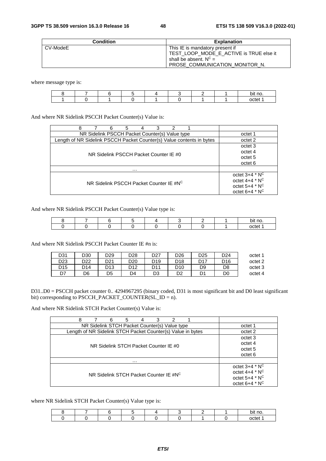| <b>Condition</b> | <b>Explanation</b>                                                                                     |
|------------------|--------------------------------------------------------------------------------------------------------|
| CV-ModeE         | This IE is mandatory present if<br>TEST_LOOP_MODE_E_ACTIVE is TRUE else it<br>shall be absent. $N^C =$ |
|                  | PROSE COMMUNICATION MONITOR N.                                                                         |

where message type is:

|  |  |  |  | bit no. |
|--|--|--|--|---------|
|  |  |  |  | nctet   |

And where NR Sidelink PSCCH Packet Counter(s) Value is:

| 8<br>3<br>2<br>6<br>5<br>4                                            |                                                                                          |
|-----------------------------------------------------------------------|------------------------------------------------------------------------------------------|
| NR Sidelink PSCCH Packet Counter(s) Value type                        | octet 1                                                                                  |
| Length of NR Sidelink PSCCH Packet Counter(s) Value contents in bytes | octet 2                                                                                  |
| NR Sidelink PSCCH Packet Counter IE #0                                | octet 3<br>octet 4<br>octet 5<br>octet 6                                                 |
| .                                                                     |                                                                                          |
| NR Sidelink PSCCH Packet Counter IE #NC                               | octet $3+4$ * $N^C$<br>octet $4+4$ * $N^C$<br>octet $5+4$ * $N^C$<br>octet $6+4$ * $N^C$ |

And where NR Sidelink PSCCH Packet Counter(s) Value type is:

|  |  |  |  | no.   |
|--|--|--|--|-------|
|  |  |  |  | octet |

And where NR Sidelink PSCCH Packet Counter IE #n is:

| octet 1 | D <sub>24</sub> | D <sub>25</sub> | D26 | D <sub>27</sub> | D28             | D29        | D30             | D31             |
|---------|-----------------|-----------------|-----|-----------------|-----------------|------------|-----------------|-----------------|
| octet 2 | D16             | D17             | D18 | D <sub>19</sub> | D <sub>20</sub> | <b>D21</b> | D <sub>22</sub> | D23             |
| octet 3 | D8              | D9              | D10 | D <sub>11</sub> | D12             | D13        | D14             | D <sub>15</sub> |
| octet 4 | D0              |                 | D2  | D3              | D4              | D5         | D6              | D7              |

D31..D0 = PSCCH packet counter 0.. 4294967295 (binary coded, D31 is most significant bit and D0 least significant bit) corresponding to PSCCH\_PACKET\_COUNTER(SL\_ID = n).

And where NR Sidelink STCH Packet Counter(s) Value is:

| 8<br>3<br>6<br>5<br>2<br>4                                  |                     |
|-------------------------------------------------------------|---------------------|
| NR Sidelink STCH Packet Counter(s) Value type               | octet 1             |
| Length of NR Sidelink STCH Packet Counter(s) Value in bytes | octet 2             |
|                                                             | octet 3             |
| NR Sidelink STCH Packet Counter IE #0                       | octet 4             |
|                                                             | octet <sub>5</sub>  |
|                                                             | octet 6             |
| $\cdots$                                                    |                     |
|                                                             | octet $3+4$ * $N^C$ |
| NR Sidelink STCH Packet Counter IF #NC                      | octet $4+4$ * $N^C$ |
|                                                             | octet $5+4$ * $N^C$ |
|                                                             | octet $6+4$ * $N^C$ |

where NR Sidelink STCH Packet Counter(s) Value type is:

|  |  |  |  | no<br>bıi |
|--|--|--|--|-----------|
|  |  |  |  |           |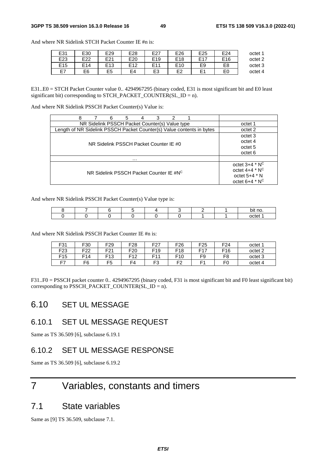| E31             | E30 | E29             | E28             | E27             | E26             | E <sub>25</sub>     | E24             | octet 1 |
|-----------------|-----|-----------------|-----------------|-----------------|-----------------|---------------------|-----------------|---------|
| E <sub>23</sub> | E22 | E21             | E <sub>20</sub> | E <sub>19</sub> | E <sub>18</sub> | F17                 | E <sub>16</sub> | octet 2 |
| E <sub>15</sub> | E14 | E <sub>13</sub> | <b>E12</b>      | E11             | E <sub>10</sub> | E9                  | E8              | octet 3 |
| E7              | E6  | E <sub>5</sub>  | E4              | E3              | E <sub>2</sub>  | E <sub>1</sub><br>╾ | E0              | octet 4 |

And where NR Sidelink STCH Packet Counter IE #n is:

E31..E0 = STCH Packet Counter value 0.. 4294967295 (binary coded, E31 is most significant bit and E0 least significant bit) corresponding to STCH\_PACKET\_COUNTER(SL\_ID = n).

And where NR Sidelink PSSCH Packet Counter(s) Value is:

| 8<br>З<br>6<br>2<br>5<br>4                                            |                              |
|-----------------------------------------------------------------------|------------------------------|
| NR Sidelink PSSCH Packet Counter(s) Value type                        | octet 1                      |
| Length of NR Sidelink PSSCH Packet Counter(s) Value contents in bytes | octet 2                      |
|                                                                       | octet 3                      |
| NR Sidelink PSSCH Packet Counter IE #0                                | octet 4                      |
|                                                                       | octet 5                      |
|                                                                       | octet 6                      |
| .                                                                     |                              |
|                                                                       | octet $3+4$ * $N^C$          |
| NR Sidelink PSSCH Packet Counter IE #NC                               | octet $4+4$ * N <sup>C</sup> |
|                                                                       | octet $5+4$ $*$ N            |
|                                                                       | octet $6+4$ * N <sup>C</sup> |

And where NR Sidelink PSSCH Packet Counter(s) Value type is:

|  |  |  |  | bit no |
|--|--|--|--|--------|
|  |  |  |  | nctet  |

And where NR Sidelink PSSCH Packet Counter IE #n is:

| F31 | F30             | F <sub>29</sub> | F <sub>28</sub> | ドクフ<br>. .      | F <sub>26</sub> | F <sub>25</sub> | F <sub>24</sub> | octet 1 |
|-----|-----------------|-----------------|-----------------|-----------------|-----------------|-----------------|-----------------|---------|
| F23 | F <sub>22</sub> | F <sub>21</sub> | F <sub>20</sub> | F <sub>19</sub> | F <sub>18</sub> | <b>E17</b>      | F <sub>16</sub> | octet 2 |
| F15 | F14             | F <sub>13</sub> | F12             | E1              | F <sub>10</sub> | F۵<br>. J       | F <sub>8</sub>  | octet 3 |
| E7  | F6              | F <sub>5</sub>  | -<br>FΔ         | ⊷<br>J          | 口つ<br>-         | Ε4              | F <sub>0</sub>  | octet 4 |

F31..F0 = PSSCH packet counter 0.. 4294967295 (binary coded, F31 is most significant bit and F0 least significant bit) corresponding to PSSCH\_PACKET\_COUNTER( $SL\_ID = n$ ).

### 6.10 SET UL MESSAGE

### 6.10.1 SET UL MESSAGE REQUEST

Same as TS 36.509 [6], subclause 6.19.1

### 6.10.2 SET UL MESSAGE RESPONSE

Same as TS 36.509 [6], subclause 6.19.2

# 7 Variables, constants and timers

## 7.1 State variables

Same as [9] TS 36.509, subclause 7.1.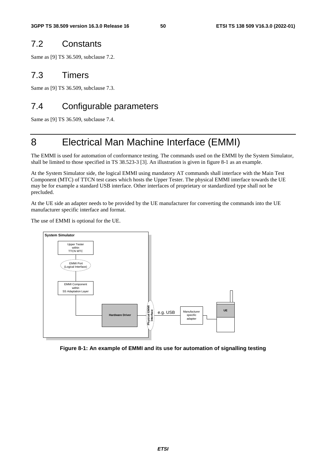## 7.2 Constants

Same as [9] TS 36.509, subclause 7.2.

### 7.3 Timers

Same as [9] TS 36.509, subclause 7.3.

# 7.4 Configurable parameters

Same as [9] TS 36.509, subclause 7.4.

# 8 Electrical Man Machine Interface (EMMI)

The EMMI is used for automation of conformance testing. The commands used on the EMMI by the System Simulator, shall be limited to those specified in TS 38.523-3 [3]. An illustration is given in figure 8-1 as an example.

At the System Simulator side, the logical EMMI using mandatory AT commands shall interface with the Main Test Component (MTC) of TTCN test cases which hosts the Upper Tester. The physical EMMI interface towards the UE may be for example a standard USB interface. Other interfaces of proprietary or standardized type shall not be precluded.

At the UE side an adapter needs to be provided by the UE manufacturer for converting the commands into the UE manufacturer specific interface and format.

The use of EMMI is optional for the UE.



**Figure 8-1: An example of EMMI and its use for automation of signalling testing**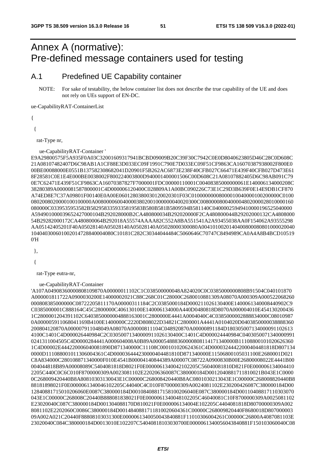# Annex A (normative): Pre-defined message containers used for testing

### A.1 Predefined UE Capability container

NOTE: For sake of testability, the below container list does not describe the true capability of the UE and does not rely on UEs support of EN-DC.

ue-CapabilityRAT-ContainerList

{

{

rat-Type nr,

ue-CapabilityRAT-Container '

E9A29800575F5A935F0A03C32001609317941BCBD09009B20C39F30C7942C0E0D8040623805D46C28C0D608C 21A08107482407D6C98AB1A1CF88E3D033EC09F1991C790E7D033EC09F51CF9863CA16070387938002F800E0 00BE00088000E0551B137582308682041D20901F5B262AC6873E238F40CFB027C66471E439F40CFB027D473E61 8F28581C0E1E4E000BE0038002F800224003800D940001400001506C00D608C21A08107882405D6C98AB091C79 0E7C62471E439F51CF9863CA16070387827F7000001FDC00000110001C00408385000000061E140006134000208C 38280389A0000081587800001C4D000006120400C028809A1A00BC090226C73E1C29D3B639F0E14E9DB1CF870 A74ED8E7C37A09801F00140E0A00E0601280380030120020301F03C01000000008000010040000100200000C0100 0802008020000100100000A0080000600400003802001000000040020300C0080000800400004802000028010000160 080000C0339535953582B5829583359335819583B580B581B5809594B581140C04000025949410000196525040000 A594901000039652427000104B292028000B2CA480800034B292020000F2CA480800044B29202000132CA4808000 54B29282000172CA480800064B292018A55574AAAA82C552A8BA551541A2A93455038AA0F154062A93555298 AA05142405201F40A05028140A05028140A05028140A05028000300080A0041010020140400800080801000020040 104040300601002014728840004080C10181C282C30344044484C5060646C70747C8494989CA0A4A8B4BCD10519  $0'$ H

},

{

rat-Type eutra-nr,

ue-CapabilityRAT-Container

'A107A04908360000808109870A00000011102C1C038500000048A824020C0C0385000000808B91504C040101870 A000001811722A0900030200E14000002021C88C268C01C28000C2680010881309A08070A000309A000522068260 000808385000000C08722205811170A00000311184C2C0385000184D000211026130400E1400061340008440902C9 C0385000001C888164C45C2800000C406130100E140006134000A440D0480818D8070A000004010E454130200436 1C2800001204391102C6403850000004888163001C2800000E4441A0004040C4C0385000002888834000C08010987 0A000005911068041169B4100E1400000C2220D808022D34821C2800001A4441A0104020D0403850000038888360 200804120870A000007911048049A08070A00000811104C048920870A00000891184D180305007134000091102613 4100C1401C4D000026440984C2C03050071340000911026130400C1401C4D000024440984C0403050071340000991 0241311004505C4D0000284441A000604008A0B89A000054888360000808114171340000B11108800101020626360 1C4D00002E444220006040081890D871340000C11108C000101020624361C4D00003244422000404481818D807134 0000D111088001011306004361C4D000036444230000404481810D871340000E11506800105031100E2680001D021 C8A834000C280108871340000F010E4541B00004140844389A00007C08722A0900830B00E26800008022E4441B00 004044818B89A00008089C5404081818D8021F0E0000061340042102205C56040081810D821F0E000006134004410 2205C440C0C6C010F8700000309A0023081102E220206360087C380000184D0012040881711810021B043E1C0000 0C268009420440B8A80810303130043E1C00000C268008420440B8AC0801030213043E1C00000C268008820440B8 88181898021F0E0000061340046102205C44040C4C010F8700000309A0024081102E230200426087C380000184D00 12840881715010206060E0087C380000184D00108408817158100206040E087C380000184D00110408817110303070 043E1C00000C268008C20440B888081838021F0E0000061340048102205C46040081C10F8700000309A0025081102 E23020040C087C380000184D001304088170D810021F0E000006134004E102205C4404081818D80700000309A002 8081102E2202060C0086C380000184D0014840881711810020604361C00000C268009820440F8680018D807000003 09A002A021C20440F88808103031300E0000061340050043840881F11010306004261C00000C26800A4087081103E 23020040C084C380000184D0013010E102207C54040818103030700E0000061340056043840881F150103060040C08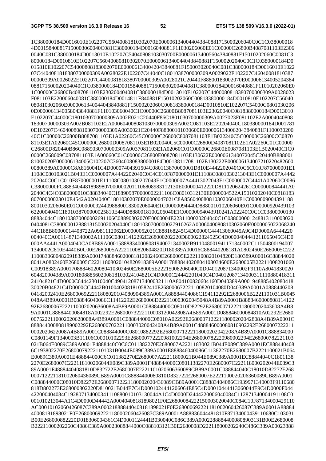1C380000184D0016010E102207C56040081810302070E0000061340044043840881715000206040C0C1C038000018 4D00158408817150003060040C081C380000184D0016040881F11030206060E01C00000C26800B4087081103E2306 0040C081C380000184D0013010E102207C54040808103030700E0000061340056043840881F15010202060C0081C3 80000184D0010810E102207C56040080810302070E0000061340044043840881F15000202040C0C1C0380000184D0 015810E102207C54000808183002070E0000061340042043840881F150003020040C081C380000184D0016010E1022 07C4404081818380700000309A0028022E102207C44040C1801038700000309A0029022E102207C46040081810387 00000309A0026022E102207C4400081818380700000309A0028021C20440F88800183002070E000006134005204384 088171500020204040C1C0380000184D001584088171500030200404081C380000184D0016040881F11010202060E0 1C00000C26800B4087081103E230200404081C380000184D0013010E102207C4400080818380700000309A0028023 F081103E220006040081C380000184D0014811F840881F15010202060C00818380000184D0010810E102207C56040 080810302060E0000061340044043840881F15000202060C00818380000184D0010810E102207C54000C0801030206 0E0000061340058043840881F110103060040C1C00000C26800B8087081103E23020040C0818380000184D0013010 E102207C44000C1801030700000309A002E021C20440F86C1801030700000309A0027023F081102E2A0004040808 18300700000309A002B081102E2A000604008081030700000309A002C081103E220204040C180380000184D001781 0E102207C4604008081030700000309A0030021C20440F88800101030600E0000061340062043840881F1100030200 40C1C00000C26800B8087081103E1A02260C45C00000C26800C8087081103E1B022240C5C00000C26800CC0870 81103E1A02060C45C00000C26800D0087081103E1B020040C5C00000C26800D4087081102E1A02260C01C00000 C26800D820440B86C0889030700000309A0037081103E1A02060C01C00000C26800E0087081103E1B020040C1C0 0000C268009C087081103E1A00060C01C00000C26800E0087081103E130622E0000061340072045C20440B888001 81002020E000006134005C102207C360400808380000184D00138117081102E130222E000006134007210220482600 00800389A00000C8A8160041C4D00007404391504C080113870000001D810E4442202040C0C6C010F870000001E1 1108C080103021B043E1C0000007A4442202040C0C4C010F870000001E11108C0801030213043E1C0000007A4442 202040C0C1C010F870000001E11108C0801030207043E1C0000007A44413022043E1C0000007C4441A02060C0086 C38000000FC888340448189898070000002011106808983112130E000000412220D811120624261C000000844441A0 2040C4C4C0380000010C88834040C188909870000002211106C08010312130E0000004522A15010202040C0818183 80700000023010E4542A0204040C18010302070E00000047021C8A85604008081030206040E1C0000009004391188 8001030206060E01C0000009244098880018300206040E1C00000094440D888001010206060E01C000000920439103 6220004040C1801038700000025810E440D8880018100206040E1C00000094043910241A02240C0C1C03800000130 88834044C180103870000002691106C08890302070E0000004E2231100020204040C1C038000001248813110003020 0404081C380000012888131500020204040C1801030700000027910262A0006040080810302060E0000005022068240 44C188B80000014408722A0981112062E00000052021C888168245C4D00000C44413060045A9C4D0000A6444220 004040CA00114871340002A11106C08011412292E268000202220D800022824525C4D0000404441211065045C4D0 000AA4441A0004040CA08B89A000158888340008081940071340002B911048001941171340002C11504800194007 1340002C810E4440B0C00E2680005A2221100820604820D180389A00016C888440208181A0802460E2680005C222 11008306004820918389A00017488846020081812082460E2680005E2221100820104820D180389A00016C88844020 8041A0802460E2680005C22211808020104820918389A00017888844020804103034600E2680005B22211008201060 C00918389A00017088846020080410302460E2680005E22215008206040C0D040120871340002F9110A8041830020 604820904389A000180888560200818103024104821C4D0000C24442201040C4D04012087134000311110880418311 24104821C4D0000C644423010040C490412087134000321110A804100820604160D040389A0001948885402080418 30020B04821C4D0000CC4442B0100402081810582410E268000672221100820104080D040389A0001A0888440208 04182002410E2680006922211808020104080904389A0001A88884404086C194112292E2680006B2221101031B0045 048A4B89A0001B088846040086C11412292E2680006D222110003020045048A4B89A0001B8888460000808114122 92E2680006F222110002020636008A4B89A0001C088844000C08010D82292E26800071222118000202043608A4B8 9A0001C88884400084818A002292E26800073222110003120042808A4B89A0001D088846000084810A02292E2680 0075222110002020628008A4B89A0001C088844000C08010A02292E26800071222118000202042808A4B89A0001C 888844000808189002292E26800070222110003020042408A4B89A0001C488846000080810902292E2680007222211 0002020622008A4B89A0001C088844000C08010882292E26800071222118000202042208A4B89A0001C888834000 C0801149F1340003B11106C00010102293E268000772220981002294E268000782220980002294E268000782221103 021B064E0089C389A0001E4888440C0C6C011382270E2680007A22211830021B044E089C389A0001EC888440408 6C193802270E268000792221101031B0044E089C389A0001E888846040086C11382270E2680007B2221100021B064 E0089C389A0001E488844000C6C011382270E2680007A22211800021B044E089C389A0001EC88844040C1801138 2270E2680007C222118100206044E089C389A0001F488844000C08011382270E2680007C222118000202044E089C3 89A0001F48884404081810D832722E2680007E2221101020606360089CB89A0001C088844040C18010D82272E268 000712221181002060436089CB89A0001C88884400080810D832722E2680007E2221100020206360089CB89A0001 C088844000C08010D82272E268000712221180002020436089CB89A0001C88883404086C1939971340003F9110680 818D802273E268000802220D810021B044E7C4D0001024441206064E85C4D00010444413060044E9C4D0000F044 422000404084C192807134000341110880010103130044A1C4D0000D2444220006040084C112871340004191108C0 001010213044A1C4D0000D44442A00040408181898021F0E26800084222150003020040C084C10F87134000429110 AC00010102060426087C389A000218888440408181898021F0E268000692221181002060426087C389A0001A88884 40008181898021F0E268000692221180002060426087C389A0001A888836044481810F87134000439110680C103031 B00E268000882220D018306004361C4D0001124441B030040C086C389A00022888844000808903131B00E2680008 B22211000202260C4086C389A00023088844000C088103121B0E2680008D222118000202240C486C389A00023888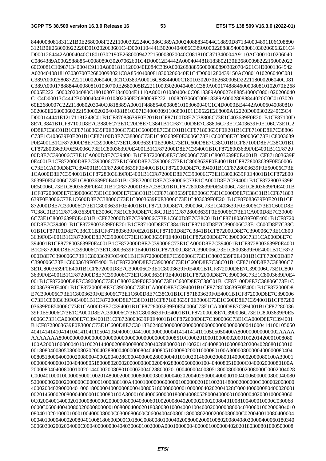8440008081831121B0E2680008F222110003022240C086C389A00024088834044C18890D871340004891106C08890 3121B0E268000922220D010202063601C4D0001104441B0200404086C389A000228888540008081030206063201C4 D0001264442A0004040C18010302190E26800094222150003020040C081810C871340004A9110AC0001010206040 C0864389A000258888540008089030207062601C4D00012E4442A0004044818183802130E26800098222150002022 60C0081C109871340004C9110A80018111206040E084C389A000268888560000808903020704261C4D0001364542 A0204040818103030700E26800093021C8A85404080818300206040E1C4D0001280439150AC0801010206040C081 C389A00025808722211000206040C0C1C0389A00016C88844000C18010302070E2680005D222118000206040C081 C389A00017888844000808101030700E2680005B2221100030200404081C389A00017488846000080810102070E268 0005E2221500020204080C180103071340004E1110A80010103040040C0818389A00027488854000C0801020206040 C1C4D00013C4442B0000404081010302060E2680009F22211008203060C00818389A00028088844020C0C0103020 60E2680007C222118080203040C0818389A0001F48885400080810103060040C1C4D0000BE4442A0006040080810 302060E2680006022215800020204040818103071340003091106800101130622E268000A12220D0003022240C5C4 D000144441E12171181248C01B1CF87083639F0E201B1CF87100D8E7C38806C73E1C403639F0E201B1CF87100D 8E7C3841B1CF87100D8E7C38806C73E1C20D8E7C3841B1CF87100D8E7C38806C73E1C403639F0E106C73E1C2 0D8E7C38C01B1CF871803639F0E3006C73E1C600D8E7C38C01B1CF871803639F0E201B1CF87100D8E7C38806 C73E1C403639F0E201B1CF87100D8E7C38806C73E1C403639F0E3006C73E1C600D8E7C390006C73E1C8003639 F0E4001B1CF872000D8E7C390006C73E1C8003639F0E3006C73E1C600D8E7C38C01B1CF87100D8E7C38C01B1 CF8728003639F0E50006C73E1C8003639F0E4001B1CF872000D8E7C394001B1CF8728003639F0E4001B1CF8720 00D8E7C390006C73E1CA000D8E7C394001B1CF872000D8E7C390006C73E1C8003639F0E4001B1CF871803639F 0E4001B1CF872000D8E7C390006C73E1C600D8E7C390006C73E1C8003639F0E4001B1CF8728003639F0E50006 C73E1CA000D8E7C394001B1CF8728003639F0E4001B1CF872000D8E7C394001B1CF8728003639F0E50006C73E 1CA000D8E7C394001B1CF8728003639F0E4001B1CF872000D8E7C390006C73E1C8003639F0E4001B1CF872800 3639F0E50006C73E1C8003639F0E4001B1CF872000D8E7C390006C73E1CA000D8E7C394001B1CF8728003639F 0E50006C73E1C8003639F0E4001B1CF872000D8E7C38C01B1CF8728003639F0E50006C73E1C8003639F0E4001B 1CF872000D8E7C390006C73E1C600D8E7C38C01B1CF871803639F0E3006C73E1C600D8E7C38C01B1CF871803 639F0E3006C73E1C600D8E7C38806C73E1C8003639F0E3006C73E1C403639F0E201B1CF87083639F0E201B1CF 872000D8E7C390006C73E1C8003639F0E4001B1CF872000D8E7C390006C73E1C403639F0E3006C73E1C600D8E 7C38C01B1CF871803639F0E3006C73E1C600D8E7C38C01B1CF8728003639F0E50006C73E1CA000D8E7C39000 6C73E1C8003639F0E4001B1CF872000D8E7C390006C73E1C600D8E7C38C01B1CF871803639F0E4001B1CF8720 00D8E7C394001B1CF8728003639F0E201B1CF87100D8E7C3841B1CF87100D8E7C390006C73E1C600D8E7C38C 01B1CF87100D8E7C38C01B1CF871803639F0E201B1CF87100D8E7C3841B1CF872000D8E7C390006C73E1C800 3639F0E4001B1CF872000D8E7C390006C73E1C8003639F0E4001B1CF872000D8E7C390006C73E1CA000D8E7C 394001B1CF8728003639F0E4001B1CF872000D8E7C390006C73E1CA000D8E7C394001B1CF8728003639F0E4001 B1CF872000D8E7C390006C73E1C8003639F0E4001B1CF872000D8E7C390006C73E1C8003639F0E4001B1CF872 000D8E7C390006C73E1C8003639F0E4001B1CF872000D8E7C390006C73E1C8003639F0E4001B1CF872000D8E7 C390006C73E1C8003639F0E4001B1CF872000D8E7C390006C73E1C600D8E7C38C01B1CF87100D8E7C38806C7 3E1C8003639F0E4001B1CF872000D8E7C390006C73E1C8003639F0E4001B1CF872000D8E7C390006C73E1C800 3639F0E4001B1CF872000D8E7C390006C73E1C8003639F0E4001B1CF872000D8E7C390006C73E1C8003639F0E4 001B1CF872000D8E7C390006C73E1C8003639F0E3006C73E1C600D8E7C38C01B1CF87100D8E7C38806C73E1C 8003639F0E4001B1CF872000D8E7C390006C73E1CA000D8E7C394001B1CF8728003639F0E4001B1CF872000D8 E7C390006C73E1C8003639F0E3006C73E1C600D8E7C38C01B1CF871803639F0E4001B1CF872000D8E7C390006 C73E1C8003639F0E4001B1CF872000D8E7C38C01B1CF871803639F0E3006C73E1C600D8E7C394001B1CF87280 03639F0E50006C73E1CA000D8E7C394001B1CF8728003639F0E50006C73E1CA000D8E7C394001B1CF87280036 39F0E50006C73E1CA000D8E7C390006C73E1C8003639F0E4001B1CF872000D8E7C390006C73E1C8003639F0E5 0006C73E1CA000D8E7C394001B1CF8728003639F0E4001B1CF872000D8E7C390006C73E1CA000D8E7C394001 B1CF8728003639F0E3006C73E1C600D8E7C3018B02480000000000000000000000000000000041000414100105050 40414141410414104141041105041050400010441000000000004141414141010505050400A800000000000002AAAA AAAAAAA8000000000000000000000000000000000000000008510C00020100010000002000100201420001008080 100A2000100000040101002014400020080008000200402880002010100201404008001000080202004028080100010 00180804008050800080202004028800040000008040400805100008020001000080100A30000800000400000080404 0080518000400000200800040002004028C000400000280000040101002014600020080014000002000080100A30001 000000400000100404008051800080200020000008000200402880006000001004040080510000C040002000080100A 2000080404008000100201440002008080100002004028800020100040000400805180008000002008000C0002004028 C00040100010000006000100201480002000000800000300000040202004029000040000010040006000000800040080 5200008020002000000C000001000080100A4000100000060000010000002010100201480002000000C000002008000 40002004029000040100018000004000000800040080518000800000100000040202004028C000400000080400020001 002014600020080004000001000080100A3000100400060000018000400805280004000001000000402000100008060 0C02004001400020100008000002000000800040300601002000804020000200020080401008100400010000C030068 0600C0600400400800200008000001008000400020180300801000400010040002000000800040300601002000804010 080401020100001000100400008000C0300680600C0600400400800180008020002000080600C020040010080400004 0004010000400020080401008180600D00C0180C0080080100040200800020001008020080408020000400060180340 300603002002004000C0004000000804040300601002000A00010000004000001000000402020180300801000500008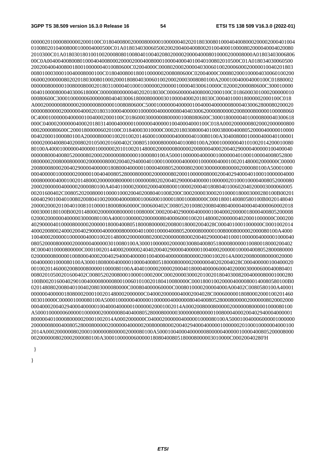0000020100008000002000100C0180400800200008000001000000402020180300801000404008000200002000401004 01008020104008000100004000500C01A01803403006050020020040040080020100400010000802000040004020080 2010300C01A018030180100100200080801008040100402080200002000040008010000200008000A01803403006806 00C0A0040040080080100040400800020000200040080001000040004010040100802010500C01A018034030060500 200200400400800180010000004010080600C02004000C0008020002000040300601002000600020000010040201803 00801000300010040008000100C0180400800180010000002008080600C02004000C000802000100004030060100200 0600020000008020201803008010002000180804030060100200020003008080100A200010040004000100C01880002 000000800000100800080002018031000040100010000002000001000040300610000C020002000080600C300010000 004010000800040300618000C00000800000040202018030C00060000040080002000100C0186000301000200000010 00080600C300010000006000000804040300618000800000301000040002018030C00040100018000002000100C018 A000200000080000020000008000001008080600C500010000004000001004000400000080004030062800080200020 000008000002000000400020180310000400000100000040000008040403006200008000002008000800000100008060 0C4000100000040000010040002000100C018600030000008000001008080600C300018000004010000800040300618 000C040002000000400020180314000400000100000040000010040004000100C018A00020000008020002000000800 0002000080600C200018000006020100C01840003010000C00020180308000401000380004008052000040000010000 004020001000080100A2000080000100201002014600010000004000004010080100A30400800010000400040100001 000020004008040200802010500201600402C00805100008000004010080100A2000100000040101002014200010080 80100A40001000000400000100000020101002014800020000008000002008000400020040290000400000100400040 0000080004008052000080200020000008000001000080100A500010000004000001000000401000100004008052800 080000020080008000002000000800020040294000401000100000040000010000004000100201480002000000C00000 20080008000200402900004000001808000400000100004008052000080200030000008000002000080100A50001000 000400000100000020000010040400805280008000002000000802000100000080002004029400040100010000004000 000800000400010020148000200000080000010000008020200402900004000001000000201000100004008052000080 200020000004000002000080100A4040100002000020004008000100002000401808040100602040200003000060005 00201600402C008052020080001000010002004020080401008200C0002000030002010000180003000280100B00201 6004029010040100802008041002000040000800100600010000180010080000C0001800140080580100B0020148040 200002000201004010081010000180008060000C000600402C008052010080200804080400004000404000060002018 0003000180100B002014800020000008000001008000C00020040290000400000100400020000018000400805200008 0200020000004000003000080100A40001000000200000080400060001002014800020000004020001000000C000200 4029000040100008000002000001800040080518000800000200800180002004028C0004010001000000C0001002014 400020080024000200402900004000000800000401000100004008052000080000010080008000002000080100A4000 100400020000010000004000100201480002000000802000200000080002004029000040100010000004000001000040 08052000080000020000004000003010080100A30001000000200000300804008051800080000010080018000200402 8C0004010000800000C0001002014400020000024040200402900004000001004000200000100004008052800080000 0200000080000010080004000200402940004000001004000400000080000020001002014A000200800080000020000 004000001000080100A300018080004000001000040080518000800000200000040202004028C000400000100400020 001002014600020080008000001000080100A4040100002000020004018000400006000402000030000600040080401 00802010500201600402C00805202008000100001000200C00020000300020100201804030082004000080001000280 100B00201600402901004000080000800100601010020180410080000C00018001002000040000800140080580100B0 02014808020080401004020803000080000C000804000060000C0008010000200004000A00402C0080580100A40001 00000040000018080002000100201480002000000C04000200000040002004028C00060000018080002000100201460 003010000C000001000080100A500010000004000001000000400000080404008052800080000020000008020002000 0004000200402940004000001004000400000100000020001002014A000200800080000020000008000001000080100 A5000100000060000010000002000000804040080528000800000300000080000010080004000200402940004000001 800000401000080000020001002014A0002000000C0400020000004000001000080100A500010040006000001000000 200000080004008052800080000020000004000002008000800020040294000400000100000020100010000004000100 2014A000200000080200010000008000002000080100A50001004000400000080000040000010000400805200008000 0020000008020002000080100A3000100000060000018080400805180008000003010000C00020040280'H

}

}

*ETSI*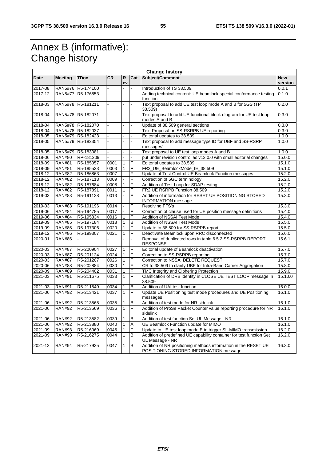# Annex B (informative): Change history

| <b>Change history</b> |                |                     |                |                |     |                                                                                                          |                       |  |  |
|-----------------------|----------------|---------------------|----------------|----------------|-----|----------------------------------------------------------------------------------------------------------|-----------------------|--|--|
| Date                  | <b>Meeting</b> | <b>TDoc</b>         | <b>CR</b>      | R<br>ev        | Cat | Subject/Comment                                                                                          | <b>New</b><br>version |  |  |
| 2017-08               | <b>RAN5#76</b> | R5-174100           |                |                |     | Introduction of TS 38.509.                                                                               | 0.0.1                 |  |  |
| 2017-12               | <b>RAN5#77</b> | R5-176853           |                |                |     | Adding technical content: UE beamlock special conformance testing<br>function                            | 0.1.0                 |  |  |
| 2018-03               |                | RAN5#78 R5-181211   | $\overline{a}$ |                |     | Text proposal to add UE test loop mode A and B for 5GS (TP<br>38.509)                                    | 0.2.0                 |  |  |
| 2018-04               |                | RAN5#78 R5-182071   |                |                |     | Text proposal to add UE functional block diagram for UE test loop<br>modes A and B                       |                       |  |  |
| 2018-04               |                | RAN5#78   R5-182070 |                |                |     | Update of 38.509 general sections                                                                        | 0.3.0                 |  |  |
| 2018-04               |                | RAN5#78 R5-182037   |                |                |     | Text Proposal on SS-RSRPB UE reporting                                                                   | 0.3.0                 |  |  |
| 2018-05               |                | RAN5#79 R5-182423   | $\overline{a}$ |                |     | Editorial updates to 38.509                                                                              | 1.0.0                 |  |  |
| 2018-05               | <b>RAN5#79</b> | R5-182354           |                |                |     | Text proposal to add message type ID for UBF and SS-RSRP<br>messages'                                    | 1.0.0                 |  |  |
| 2018-05               | <b>RAN5#79</b> | R5-183081           | $\overline{a}$ |                |     | Text proposal to UE test loop modes A and B                                                              | 1.0.0                 |  |  |
| 2018-06               | <b>RAN#80</b>  | RP-181209           |                |                |     | put under revision control as v13.0.0 with small editorial changes                                       | 15.0.0                |  |  |
| 2018-09               | <b>RAN#81</b>  | R5-185057           | 0001           | 1              | F   | Editorial updates to 38.509                                                                              | 15.1.0                |  |  |
| 2018-09               | <b>RAN#81</b>  | R5-185523           | 0003           | $\mathbf{1}$   | F   | FR2_UE_BeamlockMode_IE_38.509                                                                            | 15.1.0                |  |  |
| 2018-12               | <b>RAN#82</b>  | R5-186863           | 0007           |                | F   | Update of Test Control UE Beamlock Function messages                                                     | 15.2.0                |  |  |
| 2018-12               | <b>RAN#82</b>  | R5-187113           | 0009           |                | F   | Correction of 5GC terminology                                                                            | 15.2.0                |  |  |
| 2018-12               | <b>RAN#82</b>  | R5-187684           | 0008           | $\mathbf{1}$   | F   | Addition of Test Loop for SDAP testing                                                                   | 15.2.0                |  |  |
| 2018-12               | <b>RAN#82</b>  | R5-187891           | 0011           | $\mathbf{1}$   | F   | FR2 UE RSRPB Function 38.509                                                                             | 15.2.0                |  |  |
| 2019-03               | <b>RAN#83</b>  | R5-191128           | 0013           |                | F   | Addition of information for RESET UE POSITIONING STORED<br><b>INFORMATION</b> message                    | 15.3.0                |  |  |
| $2019 - 03$           | <b>RAN#83</b>  | R5-191196           | 0014           |                | F   | Resolving FFS's                                                                                          | 15.3.0                |  |  |
| 2019-06               | <b>RAN#84</b>  | R5-194785           | 0017           |                | F   | Correction of clause used for UE position message definitions                                            | 15.4.0                |  |  |
| 2019-06               | <b>RAN#84</b>  | R5-195334           | 0016           | 1              | F   | <b>Addition of NSSAI Test Mode</b>                                                                       | 15.4.0                |  |  |
| 2019-09               | <b>RAN#85</b>  | R5-197184           | 0018           | $\mathbf{1}$   | B   | Addition of NSSAI Test Mode                                                                              | 15.5.0                |  |  |
| 2019-09               | <b>RAN#85</b>  | R5-197306           | 0020           | $\mathbf{1}$   | F   | Update to 38.509 for SS-RSRPB report                                                                     | 15.5.0                |  |  |
| 2019-12               | <b>RAN#86</b>  | R5-199307           | 0021           | 1              | F   | Deactivate Beamlock upon RRC disconnected                                                                | 15.6.0                |  |  |
| 2020-01               | <b>RAN#86</b>  |                     |                |                |     | Removal of duplicated rows in table 6.5.2 SS-RSRPB REPORT<br><b>RESPONSE</b>                             | 15.6.1                |  |  |
| 2020-03               | <b>RAN#87</b>  | R5-200904           | 0027           | 1              | F   | Editorial update of Beamlock deactivation                                                                | 15.7.0                |  |  |
| 2020-03               | <b>RAN#87</b>  | R5-201124           | 0024           | 1              | F   | Correction to SS-RSRPB reporting                                                                         | 15.7.0                |  |  |
| 2020-03               | <b>RAN#87</b>  | R5-201207           | 0026           | $\overline{1}$ | F   | Correction to NSSAI DELETE REQUEST                                                                       | 15.7.0                |  |  |
| 2020-06               | <b>RAN#88</b>  | R5-202884           | 0030           | 1              | F   | CR to 38.509 to clarify UBF for Intra-Band Carrier Aggregation                                           | 15.8.0                |  |  |
| 2020-09               | <b>RAN#89</b>  | R5-204402           | 0031           | $\mathbf{1}$   | F   | TMC Integrity and Ciphering Protection                                                                   | 15.9.0                |  |  |
| 2021-03               | <b>RAN#91</b>  | R5-211675           | 0033           | 1              | F   | Clarification of DRB identity in CLOSE UE TEST LOOP message in<br>38.509                                 | 15.10.0               |  |  |
| 2021-03               | <b>RAN#91</b>  | R5-211549           | 0034           | 1              | B   | Addition of UAI test function                                                                            | 16.0.0                |  |  |
| 2021-06               | <b>RAN#92</b>  | R5-213421           | 0037           | 1              | F   | Update UE Positioning test mode procedures and UE Positioning<br>messages                                | 16.1.0                |  |  |
| 2021-06               | <b>RAN#92</b>  | R5-213568           | 0035           | 1              | в   | Addition of test mode for NR sidelink                                                                    | 16.1.0                |  |  |
| 2021-06               | <b>RAN#92</b>  | R5-213569           | 0036           | $\mathbf{1}$   | F   | Addition of ProSe Packet Counter value reporting procedure for NR<br>sidelink                            | 16.1.0                |  |  |
| 2021-06               | <b>RAN#92</b>  | R5-213582           | 0039           | $\mathbf{1}$   | B   | Addition of test function Set UL Message - NR                                                            | 16.1.0                |  |  |
| 2021-06               | <b>RAN#92</b>  | R5-213880           | 0040           | 1              | A   | UE Beamlock Function update for MIMO                                                                     | 16.1.0                |  |  |
| 2021-09               | <b>RAN#93</b>  | R5-216069           | 0045           | $\mathbf{1}$   | F   | Update to UE test loop mode E to trigger SL-MIMO transmission                                            | 16.2.0                |  |  |
| 2021-09               | <b>RAN#93</b>  | R5-216275           | 0044           | 1              | B   | Addition of predefined UE capability container for test function Set<br>UL Message - NR                  | 16.2.0                |  |  |
| 2021-12               | <b>RAN#94</b>  | R5-217935           | 0047           | 1              | B   | Addition of NR positioning methods information in the RESET UE<br>POSITIONING STORED INFORMATION message | 16.3.0                |  |  |